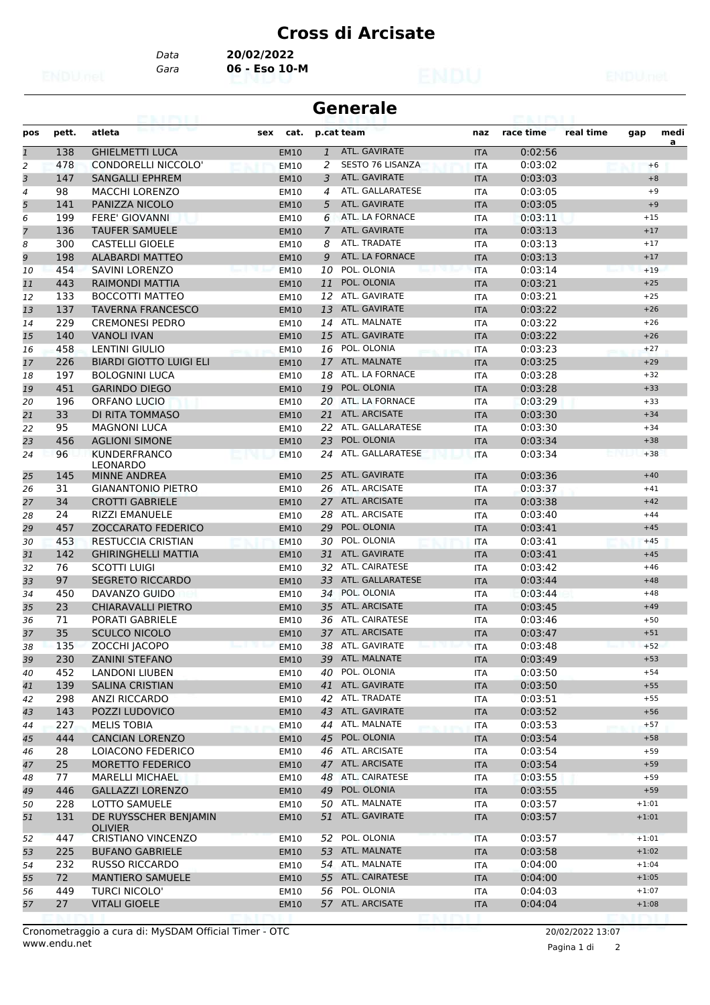*Data* **20/02/2022**

*Gara* **06 - Eso 10-M**

| <b>Generale</b> |       |                                         |             |                |                         |            |           |           |         |           |
|-----------------|-------|-----------------------------------------|-------------|----------------|-------------------------|------------|-----------|-----------|---------|-----------|
| pos             | pett. | atleta                                  | cat.<br>sex |                | p.cat team              | naz        | race time | real time | gap     | medi<br>a |
| $\mathbf{1}$    | 138   | <b>GHIELMETTI LUCA</b>                  | <b>EM10</b> | $\mathbf{1}$   | ATL. GAVIRATE           | <b>ITA</b> | 0:02:56   |           |         |           |
| 2               | 478   | <b>CONDORELLI NICCOLO'</b>              | <b>EM10</b> | 2              | <b>SESTO 76 LISANZA</b> | <b>ITA</b> | 0:03:02   |           | $+6$    |           |
| 3               | 147   | <b>SANGALLI EPHREM</b>                  | <b>EM10</b> | 3              | ATL. GAVIRATE           | <b>ITA</b> | 0:03:03   |           | $+8$    |           |
| 4               | 98    | MACCHI LORENZO                          | <b>EM10</b> | 4              | ATL. GALLARATESE        | ITA        | 0:03:05   |           | $+9$    |           |
| 5               | 141   | PANIZZA NICOLO                          | <b>EM10</b> | 5              | ATL. GAVIRATE           | <b>ITA</b> | 0:03:05   |           | $+9$    |           |
| 6               | 199   | <b>FERE' GIOVANNI</b>                   | <b>EM10</b> | 6              | ATL. LA FORNACE         | <b>ITA</b> | 0:03:11   |           | $+15$   |           |
| $\overline{7}$  | 136   | <b>TAUFER SAMUELE</b>                   | <b>EM10</b> | $\overline{7}$ | ATL. GAVIRATE           | <b>ITA</b> | 0:03:13   |           | $+17$   |           |
| 8               | 300   | <b>CASTELLI GIOELE</b>                  | <b>EM10</b> | 8              | ATL. TRADATE            | <b>ITA</b> | 0:03:13   |           | $+17$   |           |
| 9               | 198   | <b>ALABARDI MATTEO</b>                  | <b>EM10</b> | 9              | ATL. LA FORNACE         | <b>ITA</b> | 0:03:13   |           | $+17$   |           |
| 10              | 454   | <b>SAVINI LORENZO</b>                   | <b>EM10</b> | 10             | POL. OLONIA             | <b>ITA</b> | 0:03:14   |           | $+19$   |           |
| 11              | 443   | RAIMONDI MATTIA                         | <b>EM10</b> | 11             | POL. OLONIA             | <b>ITA</b> | 0:03:21   |           | $+25$   |           |
| 12              | 133   | <b>BOCCOTTI MATTEO</b>                  | <b>EM10</b> | 12             | ATL. GAVIRATE           | <b>ITA</b> | 0:03:21   |           | $+25$   |           |
| 13              | 137   | <b>TAVERNA FRANCESCO</b>                | <b>EM10</b> | 13             | ATL. GAVIRATE           | <b>ITA</b> | 0:03:22   |           | $+26$   |           |
| 14              | 229   | <b>CREMONESI PEDRO</b>                  | <b>EM10</b> |                | 14 ATL. MALNATE         | <b>ITA</b> | 0:03:22   |           | $+26$   |           |
| 15              | 140   | <b>VANOLI IVAN</b>                      | <b>EM10</b> | 15             | ATL. GAVIRATE           | <b>ITA</b> | 0:03:22   |           | $+26$   |           |
| 16              | 458   | <b>LENTINI GIULIO</b>                   | <b>EM10</b> | 16             | POL. OLONIA             | ITA        | 0:03:23   |           | $+27$   |           |
| 17              | 226   | <b>BIARDI GIOTTO LUIGI ELI</b>          | <b>EM10</b> |                | 17 ATL. MALNATE         | <b>ITA</b> | 0:03:25   |           | $+29$   |           |
| 18              | 197   | <b>BOLOGNINI LUCA</b>                   | <b>EM10</b> | 18             | ATL. LA FORNACE         | ITA        | 0:03:28   |           | $+32$   |           |
| 19              | 451   | <b>GARINDO DIEGO</b>                    | <b>EM10</b> | 19             | POL. OLONIA             | <b>ITA</b> | 0:03:28   |           | $+33$   |           |
| 20              | 196   | ORFANO LUCIO                            | <b>EM10</b> | 20             | ATL. LA FORNACE         | <b>ITA</b> | 0:03:29   |           | $+33$   |           |
| 21              | 33    | DI RITA TOMMASO                         | <b>EM10</b> |                | 21 ATL. ARCISATE        | <b>ITA</b> | 0:03:30   |           | $+34$   |           |
| 22              | 95    | <b>MAGNONI LUCA</b>                     | <b>EM10</b> | 22             | ATL. GALLARATESE        | ITA        | 0:03:30   |           | $+34$   |           |
| 23              | 456   | <b>AGLIONI SIMONE</b>                   | <b>EM10</b> | 23             | POL. OLONIA             | <b>ITA</b> | 0:03:34   |           | $+38$   |           |
| 24              | 96    | <b>KUNDERFRANCO</b><br><b>LEONARDO</b>  | <b>EM10</b> | 24             | ATL. GALLARATESE        | <b>ITA</b> | 0:03:34   |           | $+38$   |           |
| 25              | 145   | <b>MINNE ANDREA</b>                     | <b>EM10</b> | 25             | ATL. GAVIRATE           | <b>ITA</b> | 0:03:36   |           | $+40$   |           |
| 26              | 31    | <b>GIANANTONIO PIETRO</b>               | EM10        | 26             | ATL. ARCISATE           | <b>ITA</b> | 0:03:37   |           | $+41$   |           |
| 27              | 34    | <b>CROTTI GABRIELE</b>                  | <b>EM10</b> |                | 27 ATL. ARCISATE        | <b>ITA</b> | 0:03:38   |           | $+42$   |           |
| 28              | 24    | <b>RIZZI EMANUELE</b>                   | <b>EM10</b> | 28             | ATL. ARCISATE           | <b>ITA</b> | 0:03:40   |           | $+44$   |           |
| 29              | 457   | <b>ZOCCARATO FEDERICO</b>               | <b>EM10</b> | 29             | POL. OLONIA             | <b>ITA</b> | 0:03:41   |           | $+45$   |           |
| 30              | 453   | <b>RESTUCCIA CRISTIAN</b>               | <b>EM10</b> | 30             | POL. OLONIA             | <b>ITA</b> | 0:03:41   |           | $+45$   |           |
| 31              | 142   | <b>GHIRINGHELLI MATTIA</b>              | <b>EM10</b> |                | 31 ATL. GAVIRATE        | <b>ITA</b> | 0:03:41   |           | $+45$   |           |
| 32              | 76    | <b>SCOTTI LUIGI</b>                     | EM10        | 32             | <b>ATL. CAIRATESE</b>   | ITA        | 0:03:42   |           | $+46$   |           |
| 33              | 97    | <b>SEGRETO RICCARDO</b>                 | <b>EM10</b> | 33             | ATL. GALLARATESE        | <b>ITA</b> | 0:03:44   |           | $+48$   |           |
| 34              | 450   | DAVANZO GUIDO                           | EM10        | 34             | POL. OLONIA             | ITA        | 0:03:44   |           | $+48$   |           |
| 35              | 23    | <b>CHIARAVALLI PIETRO</b>               | <b>EM10</b> | 35             | <b>ATL. ARCISATE</b>    | <b>ITA</b> | 0:03:45   |           | $+49$   |           |
| 36              | 71    | PORATI GABRIELE                         | <b>EM10</b> |                | 36 ATL. CAIRATESE       | <b>ITA</b> | 0:03:46   |           | $+50$   |           |
| 37              | 35    | SCULCO NICOLO                           | EM10        |                | 37 ATL. ARCISATE        | <b>ITA</b> | 0:03:47   |           | $+51$   |           |
| 38              | 135   | ZOCCHI JACOPO                           | <b>EM10</b> |                | 38 ATL. GAVIRATE        | ITA        | 0:03:48   |           | $+52$   |           |
| 39              | 230   | ZANINI STEFANO                          | <b>EM10</b> |                | 39 ATL. MALNATE         | <b>ITA</b> | 0:03:49   |           | $+53$   |           |
| 40              | 452   | LANDONI LIUBEN                          | EM10        |                | 40 POL. OLONIA          | ITA        | 0:03:50   |           | $+54$   |           |
| 41              | 139   | <b>SALINA CRISTIAN</b>                  | <b>EM10</b> |                | 41 ATL. GAVIRATE        | <b>ITA</b> | 0:03:50   |           | $+55$   |           |
| 42              | 298   | ANZI RICCARDO                           | EM10        |                | 42 ATL. TRADATE         | ITA        | 0:03:51   |           | $+55$   |           |
| 43              | 143   | POZZI LUDOVICO                          | <b>EM10</b> |                | 43 ATL. GAVIRATE        | <b>ITA</b> | 0:03:52   |           | $+56$   |           |
| 44              | 227   | <b>MELIS TOBIA</b>                      | <b>EM10</b> | 44             | ATL. MALNATE            | ITA        | 0:03:53   |           | $+57$   |           |
| 45              | 444   | <b>CANCIAN LORENZO</b>                  | EM10        |                | 45 POL. OLONIA          | <b>ITA</b> | 0:03:54   |           | $+58$   |           |
| 46              | 28    | LOIACONO FEDERICO                       | EM10        |                | 46 ATL. ARCISATE        | ITA        | 0:03:54   |           | $+59$   |           |
| 47              | 25    | <b>MORETTO FEDERICO</b>                 | <b>EM10</b> |                | 47 ATL. ARCISATE        | <b>ITA</b> | 0:03:54   |           | $+59$   |           |
| 48              | 77    | <b>MARELLI MICHAEL</b>                  | EM10        | 48             | ATL. CAIRATESE          | ITA        | 0:03:55   |           | $+59$   |           |
| 49              | 446   | <b>GALLAZZI LORENZO</b>                 | <b>EM10</b> | 49             | POL. OLONIA             | <b>ITA</b> | 0:03:55   |           | $+59$   |           |
| 50              | 228   | LOTTO SAMUELE                           | EM10        | 50             | ATL. MALNATE            | ITA        | 0:03:57   |           | $+1:01$ |           |
| 51              | 131   | DE RUYSSCHER BENJAMIN<br><b>OLIVIER</b> | <b>EM10</b> |                | 51 ATL. GAVIRATE        | <b>ITA</b> | 0:03:57   |           | $+1:01$ |           |
| 52              | 447   | <b>CRISTIANO VINCENZO</b>               | EM10        | 52             | POL. OLONIA             | ITA        | 0:03:57   |           | $+1:01$ |           |
| 53              | 225   | <b>BUFANO GABRIELE</b>                  | <b>EM10</b> |                | 53 ATL. MALNATE         | <b>ITA</b> | 0:03:58   |           | $+1:02$ |           |
| 54              | 232   | <b>RUSSO RICCARDO</b>                   | EM10        |                | 54 ATL. MALNATE         | ITA        | 0:04:00   |           | $+1:04$ |           |
| 55              | 72    | <b>MANTIERO SAMUELE</b>                 | <b>EM10</b> |                | 55 ATL. CAIRATESE       | <b>ITA</b> | 0:04:00   |           | $+1:05$ |           |
| 56              | 449   | TURCI NICOLO'                           | EM10        |                | 56 POL. OLONIA          | ITA        | 0:04:03   |           | $+1:07$ |           |
| 57              | 27    | <b>VITALI GIOELE</b>                    | <b>EM10</b> |                | 57 ATL. ARCISATE        | <b>ITA</b> | 0:04:04   |           | $+1:08$ |           |

Pagina 1 di 2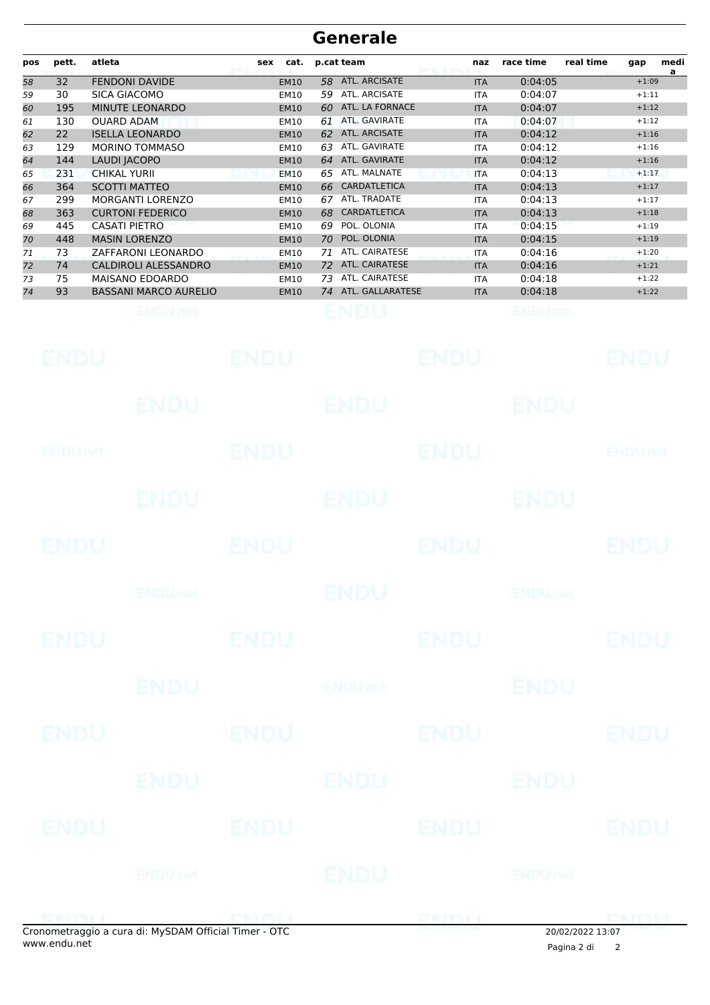# **Generale**

| pos | pett. | atleta                       | cat.<br>sex | p.cat team                | naz        | race time | real time<br>medi<br>gap<br>a |
|-----|-------|------------------------------|-------------|---------------------------|------------|-----------|-------------------------------|
| 58  | 32    | <b>FENDONI DAVIDE</b>        | <b>EM10</b> | ATL. ARCISATE<br>58       | <b>ITA</b> | 0:04:05   | $+1:09$                       |
| 59  | 30    | <b>SICA GIACOMO</b>          | <b>EM10</b> | ATL. ARCISATE<br>59       | <b>ITA</b> | 0:04:07   | $+1:11$                       |
| 60  | 195   | MINUTE LEONARDO              | <b>EM10</b> | ATL. LA FORNACE<br>60     | <b>ITA</b> | 0:04:07   | $+1:12$                       |
| 61  | 130   | <b>OUARD ADAM</b>            | EM10        | ATL. GAVIRATE<br>61       | <b>ITA</b> | 0:04:07   | $+1:12$                       |
| 62  | 22    | <b>ISELLA LEONARDO</b>       | <b>EM10</b> | ATL. ARCISATE<br>62       | <b>ITA</b> | 0:04:12   | $+1:16$                       |
| 63  | 129   | <b>MORINO TOMMASO</b>        | EM10        | ATL. GAVIRATE<br>63       | ITA        | 0:04:12   | $+1:16$                       |
| 64  | 144   | LAUDI JACOPO                 | <b>EM10</b> | ATL. GAVIRATE<br>64       | <b>ITA</b> | 0:04:12   | $+1:16$                       |
| 65  | 231   | <b>CHIKAL YURII</b>          | <b>EM10</b> | ATL. MALNATE<br>65        | <b>ITA</b> | 0:04:13   | $+1:17$                       |
| 66  | 364   | <b>SCOTTI MATTEO</b>         | <b>EM10</b> | CARDATLETICA<br>66.       | <b>ITA</b> | 0:04:13   | $+1:17$                       |
| 67  | 299   | <b>MORGANTI LORENZO</b>      | EM10        | ATL. TRADATE<br>67        | <b>ITA</b> | 0:04:13   | $+1:17$                       |
| 68  | 363   | <b>CURTONI FEDERICO</b>      | <b>EM10</b> | <b>CARDATLETICA</b><br>68 | <b>ITA</b> | 0:04:13   | $+1:18$                       |
| 69  | 445   | <b>CASATI PIETRO</b>         | EM10        | POL. OLONIA<br>69         | <b>ITA</b> | 0:04:15   | $+1:19$                       |
| 70  | 448   | <b>MASIN LORENZO</b>         | <b>EM10</b> | POL. OLONIA<br>70         | <b>ITA</b> | 0:04:15   | $+1:19$                       |
| 71  | 73    | ZAFFARONI LEONARDO           | <b>EM10</b> | ATL. CAIRATESE<br>71      | <b>ITA</b> | 0:04:16   | $+1:20$                       |
| 72  | 74    | <b>CALDIROLI ALESSANDRO</b>  | <b>EM10</b> | ATL. CAIRATESE<br>72      | <b>ITA</b> | 0:04:16   | $+1:21$                       |
| 73  | 75    | <b>MAISANO EDOARDO</b>       | EM10        | ATL. CAIRATESE<br>73      | ITA        | 0:04:18   | $+1:22$                       |
| 74  | 93    | <b>BASSANI MARCO AURELIO</b> | <b>EM10</b> | ATL. GALLARATESE<br>74    | <b>ITA</b> | 0:04:18   | $+1:22$                       |
|     |       |                              |             |                           |            |           |                               |

| <b>ENDU</b> |                                                   | ENDU            |                | <b>ENDU</b> |                           | <b>ENDU</b>    |
|-------------|---------------------------------------------------|-----------------|----------------|-------------|---------------------------|----------------|
|             | ENDU                                              |                 | ENDU           |             | <b>ENDU</b>               |                |
| ENDUMEN     |                                                   | <b>ENDU</b>     |                | <b>ENDU</b> |                           | <b>ENDUnet</b> |
|             | <b>ENDU</b>                                       |                 | <b>ENDU.</b>   |             | <b>ENDU</b>               |                |
| <b>ENDU</b> | ENDU                                              |                 |                | <b>ENDU</b> |                           | <b>ENDU</b>    |
|             | <b>ENDUmet</b>                                    |                 | ENDU           |             | <b>ENDU<sub>JOB</sub></b> |                |
| <b>ENDU</b> |                                                   | ENDU            |                | <b>ENDU</b> |                           | <b>ENDU</b>    |
|             | <b>ENDU</b>                                       |                 | <b>ENDUnet</b> |             | <b>ENDU</b>               |                |
| ENDU        |                                                   | <b>ENDU</b>     |                | <b>ENDU</b> |                           | <b>ENDU</b>    |
|             | ENDU                                              |                 | ENDU           |             | ENDU                      |                |
| ENDU        |                                                   | ENDU            |                | <b>ENDU</b> |                           | <b>ENDU</b>    |
|             |                                                   | <b>ENDU</b> net | <b>ENDU</b>    | ENDUmet     |                           |                |
|             | enemetracia a cura di: MyCDAM Official Timer. OTC |                 |                | <b>ENDI</b> |                           |                |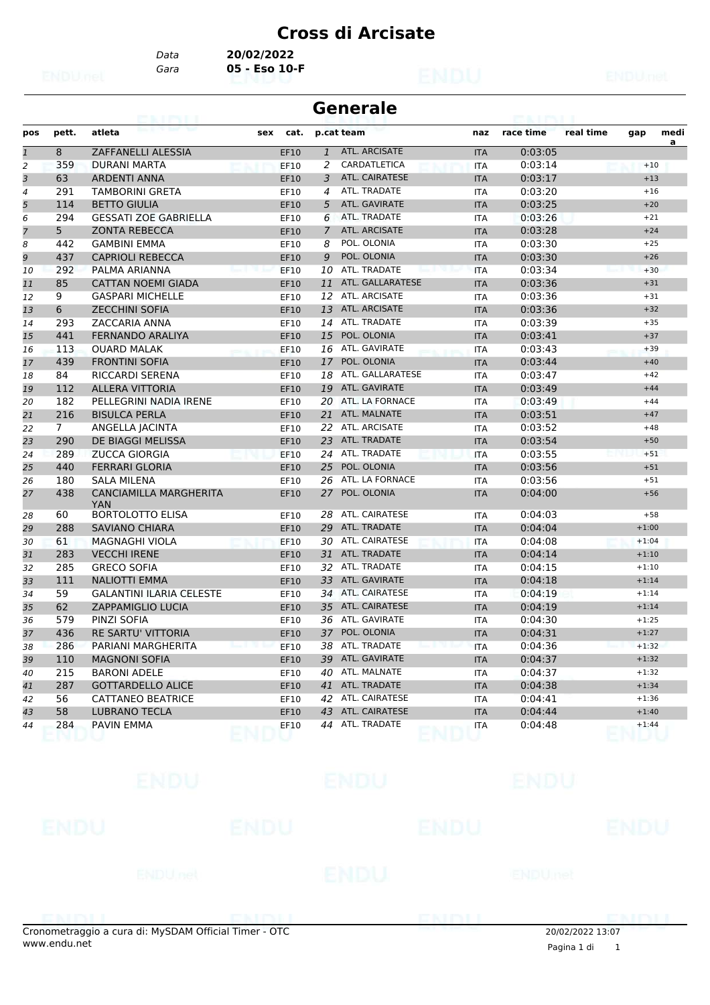*Data* **20/02/2022**

### *Gara* **05 - Eso 10-F**

|                |                |                                             |     |             |              | <b>Generale</b>       |            |           |           |         |           |
|----------------|----------------|---------------------------------------------|-----|-------------|--------------|-----------------------|------------|-----------|-----------|---------|-----------|
| pos            | pett.          | atleta                                      | sex | cat.        |              | p.cat team            | naz        | race time | real time | gap     | medi<br>a |
| $\mathbf{1}$   | 8              | <b>ZAFFANELLI ALESSIA</b>                   |     | EF10        | $\mathbf{1}$ | ATL. ARCISATE         | <b>ITA</b> | 0:03:05   |           |         |           |
| $\overline{2}$ | 359            | <b>DURANI MARTA</b>                         |     | <b>EF10</b> | 2            | CARDATLETICA          | <b>ITA</b> | 0:03:14   |           | $+10$   |           |
| 3              | 63             | <b>ARDENTI ANNA</b>                         |     | <b>EF10</b> | 3            | <b>ATL. CAIRATESE</b> | <b>ITA</b> | 0:03:17   |           | $+13$   |           |
| 4              | 291            | <b>TAMBORINI GRETA</b>                      |     | EF10        | 4            | ATL. TRADATE          | <b>ITA</b> | 0:03:20   |           | $+16$   |           |
| 5              | 114            | <b>BETTO GIULIA</b>                         |     | EF10        | 5            | ATL. GAVIRATE         | <b>ITA</b> | 0:03:25   |           | $+20$   |           |
| 6              | 294            | <b>GESSATI ZOE GABRIELLA</b>                |     | EF10        | 6            | ATL. TRADATE          | <b>ITA</b> | 0:03:26   |           | $+21$   |           |
| 7              | 5              | <b>ZONTA REBECCA</b>                        |     | EF10        | 7            | ATL. ARCISATE         | <b>ITA</b> | 0:03:28   |           | $+24$   |           |
| 8              | 442            | <b>GAMBINI EMMA</b>                         |     | EF10        | 8            | POL. OLONIA           | <b>ITA</b> | 0:03:30   |           | $+25$   |           |
| 9              | 437            | <b>CAPRIOLI REBECCA</b>                     |     | EF10        | 9            | POL. OLONIA           | <b>ITA</b> | 0:03:30   |           | $+26$   |           |
| 10             | 292            | PALMA ARIANNA                               |     | <b>EF10</b> | 10           | ATL. TRADATE          | <b>ITA</b> | 0:03:34   |           | $+30$   |           |
| 11             | 85             | <b>CATTAN NOEMI GIADA</b>                   |     | EF10        | 11           | ATL. GALLARATESE      | <b>ITA</b> | 0:03:36   |           | $+31$   |           |
| 12             | 9              | <b>GASPARI MICHELLE</b>                     |     | EF10        | 12           | ATL. ARCISATE         | <b>ITA</b> | 0:03:36   |           | $+31$   |           |
| 13             | 6              | <b>ZECCHINI SOFIA</b>                       |     | EF10        | 13           | ATL. ARCISATE         | <b>ITA</b> | 0:03:36   |           | $+32$   |           |
| 14             | 293            | ZACCARIA ANNA                               |     | EF10        |              | 14 ATL. TRADATE       | <b>ITA</b> | 0:03:39   |           | $+35$   |           |
| 15             | 441            | <b>FERNANDO ARALIYA</b>                     |     | <b>EF10</b> | 15           | POL. OLONIA           | <b>ITA</b> | 0:03:41   |           | $+37$   |           |
| 16             | 113            | <b>OUARD MALAK</b>                          |     | EF10        | 16           | ATL. GAVIRATE         | ITA        | 0:03:43   |           | $+39$   |           |
| 17             | 439            | <b>FRONTINI SOFIA</b>                       |     | <b>EF10</b> |              | 17 POL. OLONIA        | <b>ITA</b> | 0:03:44   |           | $+40$   |           |
| 18             | 84             | <b>RICCARDI SERENA</b>                      |     | EF10        | 18           | ATL. GALLARATESE      | <b>ITA</b> | 0:03:47   |           | $+42$   |           |
| 19             | 112            | <b>ALLERA VITTORIA</b>                      |     | EF10        | 19           | ATL. GAVIRATE         | <b>ITA</b> | 0:03:49   |           | $+44$   |           |
| 20             | 182            | PELLEGRINI NADIA IRENE                      |     | EF10        |              | 20 ATL. LA FORNACE    | <b>ITA</b> | 0:03:49   |           | $+44$   |           |
| 21             | 216            | <b>BISULCA PERLA</b>                        |     | <b>EF10</b> | 21           | ATL. MALNATE          | <b>ITA</b> | 0:03:51   |           | $+47$   |           |
| 22             | $\overline{7}$ | ANGELLA JACINTA                             |     | EF10        | 22           | ATL. ARCISATE         | <b>ITA</b> | 0:03:52   |           | $+48$   |           |
| 23             | 290            | DE BIAGGI MELISSA                           |     | EF10        |              | 23 ATL. TRADATE       | <b>ITA</b> | 0:03:54   |           | $+50$   |           |
| 24             | 289            | <b>ZUCCA GIORGIA</b>                        |     | <b>EF10</b> | 24           | ATL. TRADATE          | <b>ITA</b> | 0:03:55   |           | $+51$   |           |
| 25             | 440            | <b>FERRARI GLORIA</b>                       |     | EF10        | 25           | POL. OLONIA           | <b>ITA</b> | 0:03:56   |           | $+51$   |           |
| 26             | 180            | SALA MILENA                                 |     | EF10        | 26           | ATL. LA FORNACE       | <b>ITA</b> | 0:03:56   |           | $+51$   |           |
| 27             | 438            | <b>CANCIAMILLA MARGHERITA</b><br><b>YAN</b> |     | EF10        | 27           | POL. OLONIA           | <b>ITA</b> | 0:04:00   |           | $+56$   |           |
| 28             | 60             | <b>BORTOLOTTO ELISA</b>                     |     | EF10        | 28           | ATL. CAIRATESE        | <b>ITA</b> | 0:04:03   |           | $+58$   |           |
| 29             | 288            | <b>SAVIANO CHIARA</b>                       |     | EF10        | 29           | ATL. TRADATE          | <b>ITA</b> | 0:04:04   |           | $+1:00$ |           |
| 30             | 61             | <b>MAGNAGHI VIOLA</b>                       |     | EF10        |              | 30 ATL. CAIRATESE     | <b>ITA</b> | 0:04:08   |           | $+1:04$ |           |
| 31             | 283            | <b>VECCHI IRENE</b>                         |     | <b>EF10</b> |              | 31 ATL. TRADATE       | <b>ITA</b> | 0:04:14   |           | $+1:10$ |           |
| 32             | 285            | <b>GRECO SOFIA</b>                          |     | EF10        | 32           | ATL. TRADATE          | <b>ITA</b> | 0:04:15   |           | $+1:10$ |           |
| 33             | 111            | <b>NALIOTTI EMMA</b>                        |     | EF10        | 33           | ATL. GAVIRATE         | <b>ITA</b> | 0:04:18   |           | $+1:14$ |           |
| 34             | 59             | <b>GALANTINI ILARIA CELESTE</b>             |     | EF10        |              | 34 ATL. CAIRATESE     | <b>ITA</b> | 0:04:19   |           | $+1:14$ |           |
| 35             | 62             | <b>ZAPPAMIGLIO LUCIA</b>                    |     | EF10        | 35           | ATL. CAIRATESE        | <b>ITA</b> | 0:04:19   |           | $+1:14$ |           |
| 36             | 579            | PINZI SOFIA                                 |     | EF10        |              | 36 ATL. GAVIRATE      | <b>ITA</b> | 0:04:30   |           | $+1:25$ |           |
| 37             | 436            | RE SARTU' VITTORIA                          |     | EF10        |              | 37 POL. OLONIA        | <b>ITA</b> | 0:04:31   |           | $+1:27$ |           |
| 38             | 286            | PARIANI MARGHERITA                          |     | EF10        |              | 38 ATL. TRADATE       | ITA        | 0:04:36   |           | $+1:32$ |           |
| 39             | 110            | <b>MAGNONI SOFIA</b>                        |     | EF10        |              | 39 ATL. GAVIRATE      | <b>ITA</b> | 0:04:37   |           | $+1:32$ |           |
| 40             | 215            | <b>BARONI ADELE</b>                         |     | EF10        |              | 40 ATL. MALNATE       | ITA        | 0:04:37   |           | $+1:32$ |           |
| 41             | 287            | <b>GOTTARDELLO ALICE</b>                    |     | EF10        |              | 41 ATL. TRADATE       | <b>ITA</b> | 0:04:38   |           | $+1:34$ |           |
| 42             | 56             | CATTANEO BEATRICE                           |     | EF10        |              | 42 ATL. CAIRATESE     | ITA        | 0:04:41   |           | $+1:36$ |           |
| 43             | 58             | LUBRANO TECLA                               |     | EF10        |              | 43 ATL. CAIRATESE     | <b>ITA</b> | 0:04:44   |           | $+1:40$ |           |
| 44             | 284            | PAVIN EMMA                                  |     | EF10        |              | 44 ATL. TRADATE       | ITA        | 0:04:48   |           | $+1:44$ |           |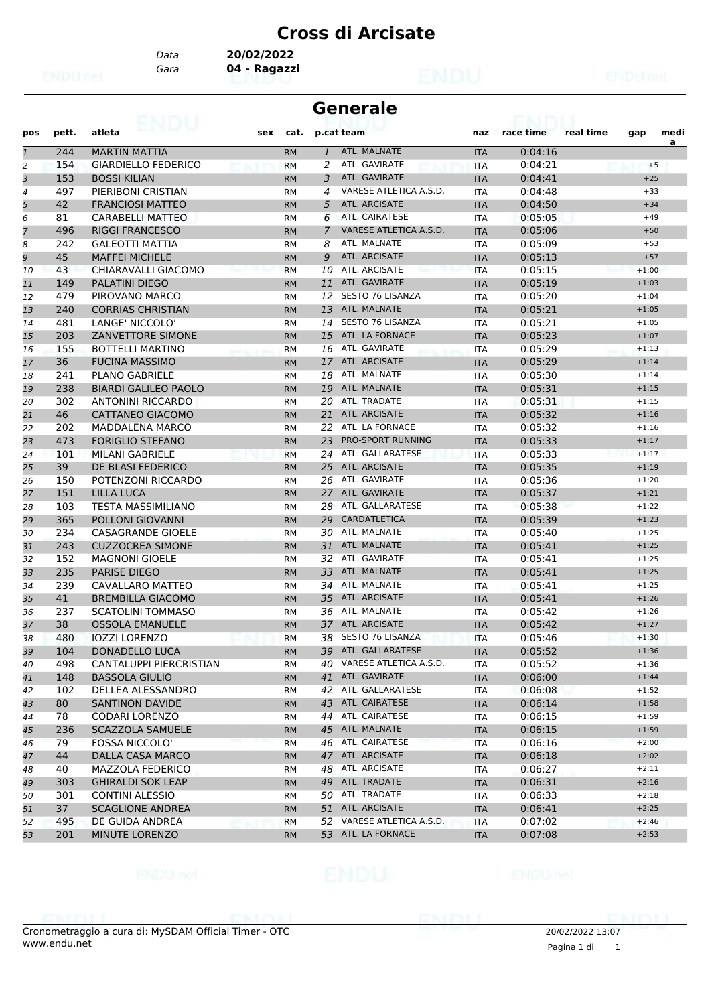*Data* **20/02/2022**

*Gara* **04 - Ragazzi**

|                |       | 63. I KBL                   |           |                | <b>Generale</b>           |            |           |           |         |           |
|----------------|-------|-----------------------------|-----------|----------------|---------------------------|------------|-----------|-----------|---------|-----------|
| pos            | pett. | atleta<br>sex               | cat.      |                | p.cat team                | naz        | race time | real time | gap     | medi<br>a |
| $\overline{1}$ | 244   | <b>MARTIN MATTIA</b>        | <b>RM</b> | $\mathbf{1}$   | ATL. MALNATE              | <b>ITA</b> | 0:04:16   |           |         |           |
| $\overline{c}$ | 154   | <b>GIARDIELLO FEDERICO</b>  | <b>RM</b> | 2              | ATL. GAVIRATE             | <b>ITA</b> | 0:04:21   |           | $+5$    |           |
| 3              | 153   | <b>BOSSI KILIAN</b>         | <b>RM</b> | 3              | ATL. GAVIRATE             | <b>ITA</b> | 0:04:41   |           | $+25$   |           |
| 4              | 497   | PIERIBONI CRISTIAN          | <b>RM</b> | 4              | VARESE ATLETICA A.S.D.    | <b>ITA</b> | 0:04:48   |           | $+33$   |           |
| 5              | 42    | <b>FRANCIOSI MATTEO</b>     | <b>RM</b> | 5              | ATL. ARCISATE             | <b>ITA</b> | 0:04:50   |           | $+34$   |           |
| 6              | 81    | <b>CARABELLI MATTEO</b>     | RM        | 6              | <b>ATL. CAIRATESE</b>     | ITA        | 0:05:05   |           | $+49$   |           |
| $\overline{7}$ | 496   | <b>RIGGI FRANCESCO</b>      | <b>RM</b> | $\overline{7}$ | VARESE ATLETICA A.S.D.    | <b>ITA</b> | 0:05:06   |           | $+50$   |           |
| 8              | 242   | <b>GALEOTTI MATTIA</b>      | <b>RM</b> | 8              | ATL. MALNATE              | <b>ITA</b> | 0:05:09   |           | $+53$   |           |
| 9              | 45    | <b>MAFFEI MICHELE</b>       | <b>RM</b> | 9              | <b>ATL. ARCISATE</b>      | <b>ITA</b> | 0:05:13   |           | $+57$   |           |
| 10             | 43    | CHIARAVALLI GIACOMO         | <b>RM</b> | 10             | ATL. ARCISATE             | <b>ITA</b> | 0:05:15   |           | $+1:00$ |           |
| 11             | 149   | <b>PALATINI DIEGO</b>       | <b>RM</b> | 11             | ATL. GAVIRATE             | <b>ITA</b> | 0:05:19   |           | $+1:03$ |           |
| 12             | 479   | PIROVANO MARCO              | RM        | 12             | <b>SESTO 76 LISANZA</b>   | <b>ITA</b> | 0:05:20   |           | $+1:04$ |           |
| 13             | 240   | <b>CORRIAS CHRISTIAN</b>    | <b>RM</b> | 13             | ATL. MALNATE              | <b>ITA</b> | 0:05:21   |           | $+1:05$ |           |
| 14             | 481   | LANGE' NICCOLO'             | <b>RM</b> | 14             | <b>SESTO 76 LISANZA</b>   | <b>ITA</b> | 0:05:21   |           | $+1:05$ |           |
| 15             | 203   | <b>ZANVETTORE SIMONE</b>    | <b>RM</b> | 15             | ATL. LA FORNACE           | <b>ITA</b> | 0:05:23   |           | $+1:07$ |           |
| 16             | 155   | <b>BOTTELLI MARTINO</b>     | <b>RM</b> |                | 16 ATL. GAVIRATE          | <b>ITA</b> | 0:05:29   |           | $+1:13$ |           |
| 17             | 36    | <b>FUCINA MASSIMO</b>       | <b>RM</b> | 17             | ATL. ARCISATE             | <b>ITA</b> | 0:05:29   |           | $+1:14$ |           |
| 18             | 241   | <b>PLANO GABRIELE</b>       | RM        | 18             | ATL. MALNATE              | <b>ITA</b> | 0:05:30   |           | $+1:14$ |           |
| 19             | 238   | <b>BIARDI GALILEO PAOLO</b> | <b>RM</b> | 19             | ATL. MALNATE              | <b>ITA</b> | 0:05:31   |           | $+1:15$ |           |
| 20             | 302   | <b>ANTONINI RICCARDO</b>    | <b>RM</b> | 20             | ATL. TRADATE              | <b>ITA</b> | 0:05:31   |           | $+1:15$ |           |
| 21             | 46    | <b>CATTANEO GIACOMO</b>     | <b>RM</b> | 21             | ATL. ARCISATE             | <b>ITA</b> | 0:05:32   |           | $+1:16$ |           |
| 22             | 202   | <b>MADDALENA MARCO</b>      | <b>RM</b> |                | 22 ATL. LA FORNACE        | <b>ITA</b> | 0:05:32   |           | $+1:16$ |           |
| 23             | 473   | <b>FORIGLIO STEFANO</b>     | <b>RM</b> | 23             | <b>PRO-SPORT RUNNING</b>  | <b>ITA</b> | 0:05:33   |           | $+1:17$ |           |
| 24             | 101   | <b>MILANI GABRIELE</b>      | <b>RM</b> | 24             | ATL. GALLARATESE          | <b>ITA</b> | 0:05:33   |           | $+1:17$ |           |
| 25             | 39    | DE BLASI FEDERICO           | <b>RM</b> | 25             | ATL. ARCISATE             | <b>ITA</b> | 0:05:35   |           | $+1:19$ |           |
| 26             | 150   | POTENZONI RICCARDO          | <b>RM</b> | 26             | ATL. GAVIRATE             | <b>ITA</b> | 0:05:36   |           | $+1:20$ |           |
| 27             | 151   | <b>LILLA LUCA</b>           | <b>RM</b> | 27             | ATL. GAVIRATE             | <b>ITA</b> | 0:05:37   |           | $+1:21$ |           |
| 28             | 103   | <b>TESTA MASSIMILIANO</b>   | <b>RM</b> |                | 28 ATL. GALLARATESE       | <b>ITA</b> | 0:05:38   |           | $+1:22$ |           |
| 29             | 365   | POLLONI GIOVANNI            | <b>RM</b> | 29             | <b>CARDATLETICA</b>       | <b>ITA</b> | 0:05:39   |           | $+1:23$ |           |
| 30             | 234   | <b>CASAGRANDE GIOELE</b>    | RM        | 30             | ATL. MALNATE              | <b>ITA</b> | 0:05:40   |           | $+1:25$ |           |
| 31             | 243   | <b>CUZZOCREA SIMONE</b>     | <b>RM</b> | 31             | ATL. MALNATE              | <b>ITA</b> | 0:05:41   |           | $+1:25$ |           |
| 32             | 152   | <b>MAGNONI GIOELE</b>       | <b>RM</b> | 32             | ATL. GAVIRATE             | <b>ITA</b> | 0:05:41   |           | $+1:25$ |           |
| 33             | 235   | <b>PARISE DIEGO</b>         | <b>RM</b> | 33             | ATL. MALNATE              | <b>ITA</b> | 0:05:41   |           | $+1:25$ |           |
| 34             | 239   | CAVALLARO MATTEO            | <b>RM</b> |                | 34 ATL. MALNATE           | <b>ITA</b> | 0:05:41   |           | $+1:25$ |           |
| 35             | 41    | <b>BREMBILLA GIACOMO</b>    | <b>RM</b> | 35             | ATL. ARCISATE             | <b>ITA</b> | 0:05:41   |           | $+1:26$ |           |
| 36             | 237   | <b>SCATOLINI TOMMASO</b>    | RM        | 36             | ATL. MALNATE              | ITA        | 0:05:42   |           | $+1:26$ |           |
| 37             | 38    | <b>OSSOLA EMANUELE</b>      | <b>RM</b> |                | 37 ATL. ARCISATE          | <b>ITA</b> | 0:05:42   |           | $+1:27$ |           |
| 38             | 480   | <b>IOZZI LORENZO</b>        | <b>RM</b> |                | 38 SESTO 76 LISANZA       | <b>ITA</b> | 0:05:46   |           | $+1:30$ |           |
| 39             | 104   | DONADELLO LUCA              | <b>RM</b> |                | 39 ATL. GALLARATESE       | <b>ITA</b> | 0:05:52   |           | $+1:36$ |           |
| 40             | 498   | CANTALUPPI PIERCRISTIAN     | RM        |                | 40 VARESE ATLETICA A.S.D. | ITA        | 0:05:52   |           | $+1:36$ |           |
| 41             | 148   | <b>BASSOLA GIULIO</b>       | <b>RM</b> |                | 41 ATL. GAVIRATE          | <b>ITA</b> | 0:06:00   |           | $+1:44$ |           |
| 42             | 102   | DELLEA ALESSANDRO           | RM        |                | 42 ATL. GALLARATESE       | ITA        | 0:06:08   |           | $+1:52$ |           |
| 43             | 80    | <b>SANTINON DAVIDE</b>      | <b>RM</b> |                | 43 ATL. CAIRATESE         | <b>ITA</b> | 0:06:14   |           | $+1:58$ |           |
| 44             | 78    | <b>CODARI LORENZO</b>       | RM        |                | 44 ATL. CAIRATESE         | ITA        | 0:06:15   |           | $+1:59$ |           |
| 45             | 236   | <b>SCAZZOLA SAMUELE</b>     | <b>RM</b> |                | 45 ATL. MALNATE           | <b>ITA</b> | 0:06:15   |           | $+1:59$ |           |
| 46             | 79    | <b>FOSSA NICCOLO'</b>       | <b>RM</b> |                | 46 ATL. CAIRATESE         | <b>ITA</b> | 0:06:16   |           | $+2:00$ |           |
| 47             | 44    | <b>DALLA CASA MARCO</b>     | <b>RM</b> |                | 47 ATL. ARCISATE          | <b>ITA</b> | 0:06:18   |           | $+2:02$ |           |
| 48             | 40    | MAZZOLA FEDERICO            | RM        |                | 48 ATL. ARCISATE          | ITA        | 0:06:27   |           | $+2:11$ |           |
| 49             | 303   | <b>GHIRALDI SOK LEAP</b>    | <b>RM</b> |                | 49 ATL. TRADATE           | <b>ITA</b> | 0:06:31   |           | $+2:16$ |           |
| 50             | 301   | <b>CONTINI ALESSIO</b>      | <b>RM</b> |                | 50 ATL. TRADATE           | ITA        | 0:06:33   |           | $+2:18$ |           |
| 51             | 37    | <b>SCAGLIONE ANDREA</b>     | <b>RM</b> |                | 51 ATL. ARCISATE          | <b>ITA</b> | 0:06:41   |           | $+2:25$ |           |
| 52             | 495   | DE GUIDA ANDREA             | <b>RM</b> |                | 52 VARESE ATLETICA A.S.D. | ITA        | 0:07:02   |           | $+2:46$ |           |
| 53             | 201   | MINUTE LORENZO              | <b>RM</b> |                | 53 ATL. LA FORNACE        | <b>ITA</b> | 0:07:08   |           | $+2:53$ |           |
|                |       |                             |           |                |                           |            |           |           |         |           |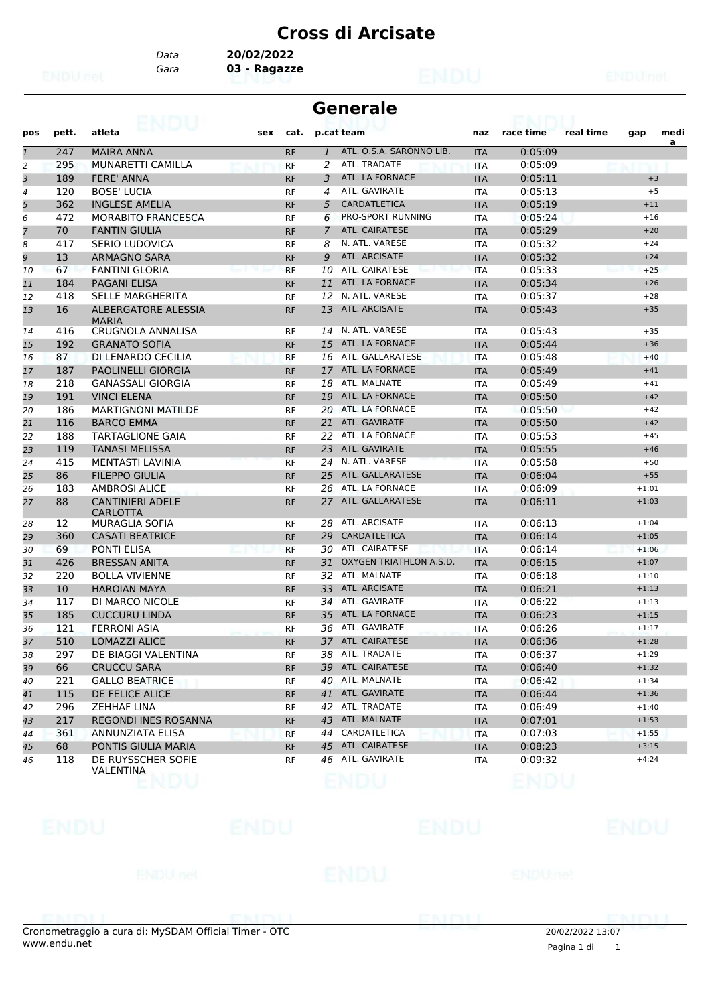*Data* **20/02/2022**

*Gara* **03 - Ragazze**

| <b>Generale</b><br><b>PEACE PACE II</b><br><b>PERSONAL BURNISH DI</b> |       |                                            |     |           |              |                          |            |           |                          |  |  |
|-----------------------------------------------------------------------|-------|--------------------------------------------|-----|-----------|--------------|--------------------------|------------|-----------|--------------------------|--|--|
| pos                                                                   | pett. | atleta                                     | sex | cat.      |              | p.cat team               | naz        | race time | real time<br>medi<br>gap |  |  |
| $\mathbf{1}$                                                          | 247   | <b>MAIRA ANNA</b>                          |     | <b>RF</b> | $\mathbf{1}$ | ATL. O.S.A. SARONNO LIB. | <b>ITA</b> | 0:05:09   | a                        |  |  |
| 2                                                                     | 295   | MUNARETTI CAMILLA                          |     | <b>RF</b> | 2            | ATL. TRADATE             | <b>ITA</b> | 0:05:09   |                          |  |  |
| 3                                                                     | 189   | <b>FERE' ANNA</b>                          |     | <b>RF</b> | 3            | ATL. LA FORNACE          | <b>ITA</b> | 0:05:11   | $+3$                     |  |  |
| 4                                                                     | 120   | <b>BOSE' LUCIA</b>                         |     | <b>RF</b> | 4            | ATL. GAVIRATE            | <b>ITA</b> | 0:05:13   | $+5$                     |  |  |
| 5                                                                     | 362   | <b>INGLESE AMELIA</b>                      |     | <b>RF</b> | 5            | <b>CARDATLETICA</b>      | <b>ITA</b> | 0:05:19   | $+11$                    |  |  |
| 6                                                                     | 472   | <b>MORABITO FRANCESCA</b>                  |     | RF        | 6            | PRO-SPORT RUNNING        | <b>ITA</b> | 0:05:24   | $+16$                    |  |  |
| $\overline{7}$                                                        | 70    | <b>FANTIN GIULIA</b>                       |     | <b>RF</b> | 7            | <b>ATL. CAIRATESE</b>    | <b>ITA</b> | 0:05:29   | $+20$                    |  |  |
| 8                                                                     | 417   | <b>SERIO LUDOVICA</b>                      |     | <b>RF</b> | 8            | N. ATL. VARESE           | <b>ITA</b> | 0:05:32   | $+24$                    |  |  |
| 9                                                                     | 13    | <b>ARMAGNO SARA</b>                        |     | <b>RF</b> | 9            | <b>ATL. ARCISATE</b>     | <b>ITA</b> | 0:05:32   | $+24$                    |  |  |
| 10                                                                    | 67    | <b>FANTINI GLORIA</b>                      |     | <b>RF</b> | 10           | ATL. CAIRATESE           | <b>ITA</b> | 0:05:33   | $+25$                    |  |  |
| 11                                                                    | 184   | PAGANI ELISA                               |     | <b>RF</b> | 11           | ATL. LA FORNACE          | <b>ITA</b> | 0:05:34   | $+26$                    |  |  |
| 12                                                                    | 418   | <b>SELLE MARGHERITA</b>                    |     | <b>RF</b> |              | 12 N. ATL. VARESE        | <b>ITA</b> | 0:05:37   | $+28$                    |  |  |
| 13                                                                    | 16    | <b>ALBERGATORE ALESSIA</b><br><b>MARIA</b> |     | <b>RF</b> | 13           | <b>ATL. ARCISATE</b>     | <b>ITA</b> | 0:05:43   | $+35$                    |  |  |
| 14                                                                    | 416   | CRUGNOLA ANNALISA                          |     | <b>RF</b> |              | 14 N. ATL. VARESE        | <b>ITA</b> | 0:05:43   | $+35$                    |  |  |
| 15                                                                    | 192   | <b>GRANATO SOFIA</b>                       |     | <b>RF</b> | 15           | ATL. LA FORNACE          | <b>ITA</b> | 0:05:44   | $+36$                    |  |  |
| 16                                                                    | 87    | DI LENARDO CECILIA                         |     | <b>RF</b> |              | 16 ATL. GALLARATESE      | <b>ITA</b> | 0:05:48   | $+40$                    |  |  |
| 17                                                                    | 187   | <b>PAOLINELLI GIORGIA</b>                  |     | <b>RF</b> |              | 17 ATL. LA FORNACE       | <b>ITA</b> | 0:05:49   | $+41$                    |  |  |
| 18                                                                    | 218   | <b>GANASSALI GIORGIA</b>                   |     | RF        |              | 18 ATL. MALNATE          | ITA        | 0:05:49   | $+41$                    |  |  |
| 19                                                                    | 191   | <b>VINCI ELENA</b>                         |     | <b>RF</b> |              | 19 ATL. LA FORNACE       | <b>ITA</b> | 0:05:50   | $+42$                    |  |  |
| 20                                                                    | 186   | <b>MARTIGNONI MATILDE</b>                  |     | <b>RF</b> |              | 20 ATL. LA FORNACE       | <b>ITA</b> | 0:05:50   | $+42$                    |  |  |
| 21                                                                    | 116   | <b>BARCO EMMA</b>                          |     | <b>RF</b> | 21           | ATL. GAVIRATE            | <b>ITA</b> | 0:05:50   | $+42$                    |  |  |
| 22                                                                    | 188   | <b>TARTAGLIONE GAIA</b>                    |     | RF        |              | 22 ATL. LA FORNACE       | <b>ITA</b> | 0:05:53   | $+45$                    |  |  |
| 23                                                                    | 119   | <b>TANASI MELISSA</b>                      |     | <b>RF</b> | 23           | ATL. GAVIRATE            | <b>ITA</b> | 0:05:55   | $+46$                    |  |  |
| 24                                                                    | 415   | MENTASTI LAVINIA                           |     | RF        | 24           | N. ATL. VARESE           | <b>ITA</b> | 0:05:58   | $+50$                    |  |  |
| 25                                                                    | 86    | <b>FILEPPO GIULIA</b>                      |     | <b>RF</b> | 25           | ATL. GALLARATESE         | <b>ITA</b> | 0:06:04   | $+55$                    |  |  |
| 26                                                                    | 183   | <b>AMBROSI ALICE</b>                       |     | <b>RF</b> |              | 26 ATL. LA FORNACE       | <b>ITA</b> | 0:06:09   | $+1:01$                  |  |  |
| 27                                                                    | 88    | <b>CANTINIERI ADELE</b><br>CARLOTTA        |     | <b>RF</b> | 27           | ATL. GALLARATESE         | <b>ITA</b> | 0:06:11   | $+1:03$                  |  |  |
| 28                                                                    | 12    | <b>MURAGLIA SOFIA</b>                      |     | RF        |              | 28 ATL. ARCISATE         | ITA        | 0:06:13   | $+1:04$                  |  |  |
| 29                                                                    | 360   | <b>CASATI BEATRICE</b>                     |     | <b>RF</b> | 29           | <b>CARDATLETICA</b>      | <b>ITA</b> | 0:06:14   | $+1:05$                  |  |  |
| 30                                                                    | 69    | <b>PONTI ELISA</b>                         |     | <b>RF</b> |              | 30 ATL. CAIRATESE        | <b>ITA</b> | 0:06:14   | $+1:06$                  |  |  |
| 31                                                                    | 426   | <b>BRESSAN ANITA</b>                       |     | <b>RF</b> | 31           | OXYGEN TRIATHLON A.S.D.  | <b>ITA</b> | 0:06:15   | $+1:07$                  |  |  |
| 32                                                                    | 220   | <b>BOLLA VIVIENNE</b>                      |     | RF        |              | 32 ATL. MALNATE          | <b>ITA</b> | 0:06:18   | $+1:10$                  |  |  |
| 33                                                                    | 10    | <b>HAROIAN MAYA</b>                        |     | <b>RF</b> |              | 33 ATL. ARCISATE         | <b>ITA</b> | 0:06:21   | $+1:13$                  |  |  |
| 34                                                                    | 117   | DI MARCO NICOLE                            |     | RF        |              | 34 ATL. GAVIRATE         | ITA        | 0:06:22   | $+1:13$                  |  |  |
| 35                                                                    | 185   | <b>CUCCURU LINDA</b>                       |     | <b>RF</b> | 35           | ATL. LA FORNACE          | <b>ITA</b> | 0:06:23   | $+1:15$                  |  |  |
| 36                                                                    | 121   | <b>FERRONI ASIA</b>                        |     | <b>RF</b> |              | 36 ATL. GAVIRATE         | <b>ITA</b> | 0:06:26   | $+1:17$                  |  |  |
| 37                                                                    | 510   | <b>LOMAZZI ALICE</b>                       |     | <b>RF</b> |              | 37 ATL. CAIRATESE        | <b>ITA</b> | 0:06:36   | $+1:28$                  |  |  |
| 38                                                                    | 297   | DE BIAGGI VALENTINA                        |     | RF        |              | 38 ATL. TRADATE          | <b>ITA</b> | 0:06:37   | $+1:29$                  |  |  |
| 39                                                                    | 66    | <b>CRUCCU SARA</b>                         |     | <b>RF</b> |              | 39 ATL. CAIRATESE        | <b>ITA</b> | 0:06:40   | $+1:32$                  |  |  |
| 40                                                                    | 221   | <b>GALLO BEATRICE</b>                      |     | RF        |              | 40 ATL. MALNATE          | ITA        | 0:06:42   | $+1:34$                  |  |  |
| 41                                                                    | 115   | DE FELICE ALICE                            |     | <b>RF</b> |              | 41 ATL. GAVIRATE         | <b>ITA</b> | 0:06:44   | $+1:36$                  |  |  |
| 42                                                                    | 296   | <b>ZEHHAF LINA</b>                         |     | RF        |              | 42 ATL. TRADATE          | ITA        | 0:06:49   | $+1:40$                  |  |  |
| 43                                                                    | 217   | REGONDI INES ROSANNA                       |     | <b>RF</b> |              | 43 ATL. MALNATE          | <b>ITA</b> | 0:07:01   | $+1:53$                  |  |  |
| 44                                                                    | 361   | ANNUNZIATA ELISA                           |     | <b>RF</b> |              | 44 CARDATLETICA          | <b>ITA</b> | 0:07:03   | $+1:55$                  |  |  |
| 45                                                                    | 68    | PONTIS GIULIA MARIA                        |     | <b>RF</b> |              | 45 ATL. CAIRATESE        | <b>ITA</b> | 0:08:23   | $+3:15$                  |  |  |
| 46                                                                    | 118   | DE RUYSSCHER SOFIE<br>VALENTINA            |     | RF        |              | 46 ATL. GAVIRATE         | ITA        | 0:09:32   | $+4:24$                  |  |  |
|                                                                       |       |                                            |     |           |              |                          |            |           |                          |  |  |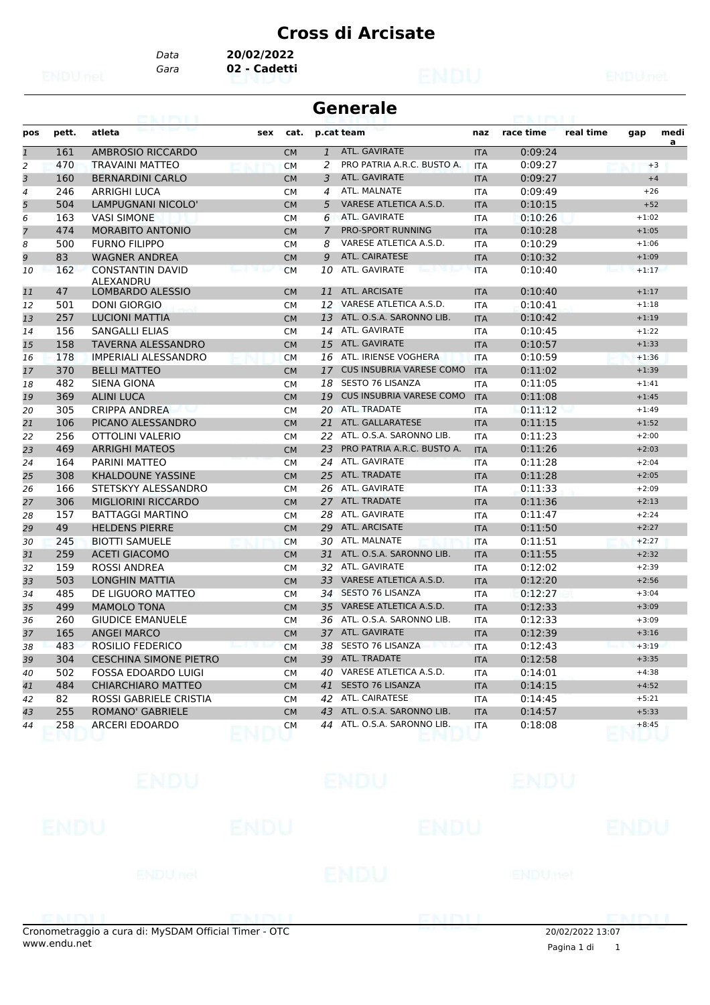*Data* **20/02/2022**

*Gara* **02 - Cadetti**

|                |       | 63. I KBL                            |     |           |                | <b>Generale</b>                 |            |           |           |         |      |
|----------------|-------|--------------------------------------|-----|-----------|----------------|---------------------------------|------------|-----------|-----------|---------|------|
| pos            | pett. | atleta                               | sex | cat.      |                | p.cat team                      | naz        | race time | real time | gap     | medi |
| $\mathbf{1}$   | 161   | AMBROSIO RICCARDO                    |     | <b>CM</b> | $\mathbf{1}$   | ATL. GAVIRATE                   | <b>ITA</b> | 0:09:24   |           |         | a    |
| 2              | 470   | <b>TRAVAINI MATTEO</b>               |     | <b>CM</b> | 2              | PRO PATRIA A.R.C. BUSTO A.      | <b>ITA</b> | 0:09:27   |           | $+3$    |      |
| 3              | 160   | <b>BERNARDINI CARLO</b>              |     | <b>CM</b> | 3              | ATL. GAVIRATE                   | <b>ITA</b> | 0:09:27   |           | $+4$    |      |
| 4              | 246   | <b>ARRIGHI LUCA</b>                  |     | <b>CM</b> | 4              | ATL. MALNATE                    | <b>ITA</b> | 0:09:49   |           | $+26$   |      |
| 5              | 504   | LAMPUGNANI NICOLO'                   |     | <b>CM</b> | 5              | VARESE ATLETICA A.S.D.          | <b>ITA</b> | 0:10:15   |           | $+52$   |      |
| 6              | 163   | <b>VASI SIMONE</b>                   |     | СM        | 6              | ATL. GAVIRATE                   | ITA        | 0:10:26   |           | $+1:02$ |      |
| $\overline{7}$ | 474   | <b>MORABITO ANTONIO</b>              |     | <b>CM</b> | $\overline{7}$ | PRO-SPORT RUNNING               | <b>ITA</b> | 0:10:28   |           | $+1:05$ |      |
| 8              | 500   | <b>FURNO FILIPPO</b>                 |     | <b>CM</b> | 8              | VARESE ATLETICA A.S.D.          | <b>ITA</b> | 0:10:29   |           | $+1:06$ |      |
| 9              | 83    | <b>WAGNER ANDREA</b>                 |     | CM        | 9              | <b>ATL. CAIRATESE</b>           | <b>ITA</b> | 0:10:32   |           | $+1:09$ |      |
| 10             | 162   | <b>CONSTANTIN DAVID</b><br>ALEXANDRU |     | <b>CM</b> | 10             | ATL. GAVIRATE                   | <b>ITA</b> | 0:10:40   |           | $+1:17$ |      |
| 11             | 47    | <b>LOMBARDO ALESSIO</b>              |     | <b>CM</b> | 11             | ATL. ARCISATE                   | <b>ITA</b> | 0:10:40   |           | $+1:17$ |      |
| 12             | 501   | <b>DONI GIORGIO</b>                  |     | <b>CM</b> | 12             | VARESE ATLETICA A.S.D.          | <b>ITA</b> | 0:10:41   |           | $+1:18$ |      |
| 13             | 257   | <b>LUCIONI MATTIA</b>                |     | CM        | 13             | ATL. O.S.A. SARONNO LIB.        | <b>ITA</b> | 0:10:42   |           | $+1:19$ |      |
| 14             | 156   | SANGALLI ELIAS                       |     | <b>CM</b> | 14             | ATL. GAVIRATE                   | <b>ITA</b> | 0:10:45   |           | $+1:22$ |      |
| 15             | 158   | <b>TAVERNA ALESSANDRO</b>            |     | <b>CM</b> | 15             | ATL. GAVIRATE                   | <b>ITA</b> | 0:10:57   |           | $+1:33$ |      |
| 16             | 178   | <b>IMPERIALI ALESSANDRO</b>          |     | <b>CM</b> | 16             | ATL. IRIENSE VOGHERA            | <b>ITA</b> | 0:10:59   |           | $+1:36$ |      |
| 17             | 370   | <b>BELLI MATTEO</b>                  |     | <b>CM</b> | 17             | <b>CUS INSUBRIA VARESE COMO</b> | <b>ITA</b> | 0:11:02   |           | $+1:39$ |      |
| 18             | 482   | SIENA GIONA                          |     | <b>CM</b> | 18             | <b>SESTO 76 LISANZA</b>         | <b>ITA</b> | 0:11:05   |           | $+1:41$ |      |
| 19             | 369   | <b>ALINI LUCA</b>                    |     | CM        | 19             | <b>CUS INSUBRIA VARESE COMO</b> | <b>ITA</b> | 0:11:08   |           | $+1:45$ |      |
| 20             | 305   | <b>CRIPPA ANDREA</b>                 |     | <b>CM</b> |                | 20 ATL. TRADATE                 | <b>ITA</b> | 0:11:12   |           | $+1:49$ |      |
| 21             | 106   | PICANO ALESSANDRO                    |     | <b>CM</b> | 21             | ATL. GALLARATESE                | <b>ITA</b> | 0:11:15   |           | $+1:52$ |      |
| 22             | 256   | OTTOLINI VALERIO                     |     | <b>CM</b> | 22             | ATL. O.S.A. SARONNO LIB.        | ITA        | 0:11:23   |           | $+2:00$ |      |
| 23             | 469   | <b>ARRIGHI MATEOS</b>                |     | <b>CM</b> | 23             | PRO PATRIA A.R.C. BUSTO A.      | <b>ITA</b> | 0:11:26   |           | $+2:03$ |      |
| 24             | 164   | <b>PARINI MATTEO</b>                 |     | <b>CM</b> | 24             | ATL. GAVIRATE                   | <b>ITA</b> | 0:11:28   |           | $+2:04$ |      |
| 25             | 308   | KHALDOUNE YASSINE                    |     | CM        | 25             | ATL. TRADATE                    | <b>ITA</b> | 0:11:28   |           | $+2:05$ |      |
| 26             | 166   | STETSKYY ALESSANDRO                  |     | <b>CM</b> | 26             | ATL. GAVIRATE                   | <b>ITA</b> | 0:11:33   |           | $+2:09$ |      |
| 27             | 306   | <b>MIGLIORINI RICCARDO</b>           |     | <b>CM</b> | 27             | ATL. TRADATE                    | <b>ITA</b> | 0:11:36   |           | $+2:13$ |      |
| 28             | 157   | <b>BATTAGGI MARTINO</b>              |     | СM        | 28             | ATL. GAVIRATE                   | ITA        | 0:11:47   |           | $+2:24$ |      |
| 29             | 49    | <b>HELDENS PIERRE</b>                |     | <b>CM</b> | 29             | ATL. ARCISATE                   | <b>ITA</b> | 0:11:50   |           | $+2:27$ |      |
| 30             | 245   | <b>BIOTTI SAMUELE</b>                |     | <b>CM</b> | 30             | ATL. MALNATE                    | <b>ITA</b> | 0:11:51   |           | $+2:27$ |      |
| 31             | 259   | <b>ACETI GIACOMO</b>                 |     | CM        | 31             | ATL. O.S.A. SARONNO LIB.        | <b>ITA</b> | 0:11:55   |           | $+2:32$ |      |
| 32             | 159   | <b>ROSSI ANDREA</b>                  |     | <b>CM</b> | 32             | ATL. GAVIRATE                   | <b>ITA</b> | 0:12:02   |           | $+2:39$ |      |
| 33             | 503   | <b>LONGHIN MATTIA</b>                |     | <b>CM</b> | 33             | VARESE ATLETICA A.S.D.          | <b>ITA</b> | 0:12:20   |           | $+2:56$ |      |
| 34             | 485   | DE LIGUORO MATTEO                    |     | СM        | 34             | <b>SESTO 76 LISANZA</b>         | ITA        | 0:12:27   |           | $+3:04$ |      |
| 35             | 499   | <b>MAMOLO TONA</b>                   |     | <b>CM</b> | 35             | VARESE ATLETICA A.S.D.          | <b>ITA</b> | 0:12:33   |           | $+3:09$ |      |
| 36             | 260   | <b>GIUDICE EMANUELE</b>              |     | СM        | 36             | ATL. O.S.A. SARONNO LIB.        | <b>ITA</b> | 0:12:33   |           | $+3:09$ |      |
| 37             | 165   | <b>ANGEI MARCO</b>                   |     | <b>CM</b> |                | 37 ATL. GAVIRATE                | <b>ITA</b> | 0:12:39   |           | $+3:16$ |      |
| 38             | 483   | ROSILIO FEDERICO                     |     | <b>CM</b> |                | 38 SESTO 76 LISANZA             | ITA        | 0:12:43   |           | $+3:19$ |      |
| 39             | 304   | <b>CESCHINA SIMONE PIETRO</b>        |     | <b>CM</b> |                | 39 ATL. TRADATE                 | <b>ITA</b> | 0:12:58   |           | $+3:35$ |      |
| 40             | 502   | <b>FOSSA EDOARDO LUIGI</b>           |     | СM        | 40             | VARESE ATLETICA A.S.D.          | ITA        | 0:14:01   |           | $+4:38$ |      |
| 41             | 484   | <b>CHIARCHIARO MATTEO</b>            |     | <b>CM</b> |                | 41 SESTO 76 LISANZA             | <b>ITA</b> | 0:14:15   |           | $+4:52$ |      |
| 42             | 82    | ROSSI GABRIELE CRISTIA               |     | CМ        |                | 42 ATL. CAIRATESE               | ITA        | 0:14:45   |           | $+5:21$ |      |
| 43             | 255   | <b>ROMANO' GABRIELE</b>              |     | CM        | 43             | ATL. O.S.A. SARONNO LIB.        | <b>ITA</b> | 0:14:57   |           | $+5:33$ |      |
| 44             | 258   | ARCERI EDOARDO                       |     | CM        |                | 44 ATL. O.S.A. SARONNO LIB.     | ITA        | 0:18:08   |           | $+8:45$ |      |

|                         | ENDU <sup>1</sup> |                              | ENDU        |                         | <b>ENDU</b>    |                          |
|-------------------------|-------------------|------------------------------|-------------|-------------------------|----------------|--------------------------|
| ENDU                    |                   | <b>ENDU</b>                  |             |                         | <b>ENDU</b>    | <b>ENDU</b>              |
|                         | <b>ENDUnet</b>    |                              | <b>ENDU</b> |                         | <b>ENDUmet</b> |                          |
| <b>ES INTERNATIONAL</b> |                   | <b>THE REPORT OF A RIVER</b> |             | <b>THE BOT THE TIME</b> |                | <b><i>CONSTRUCTS</i></b> |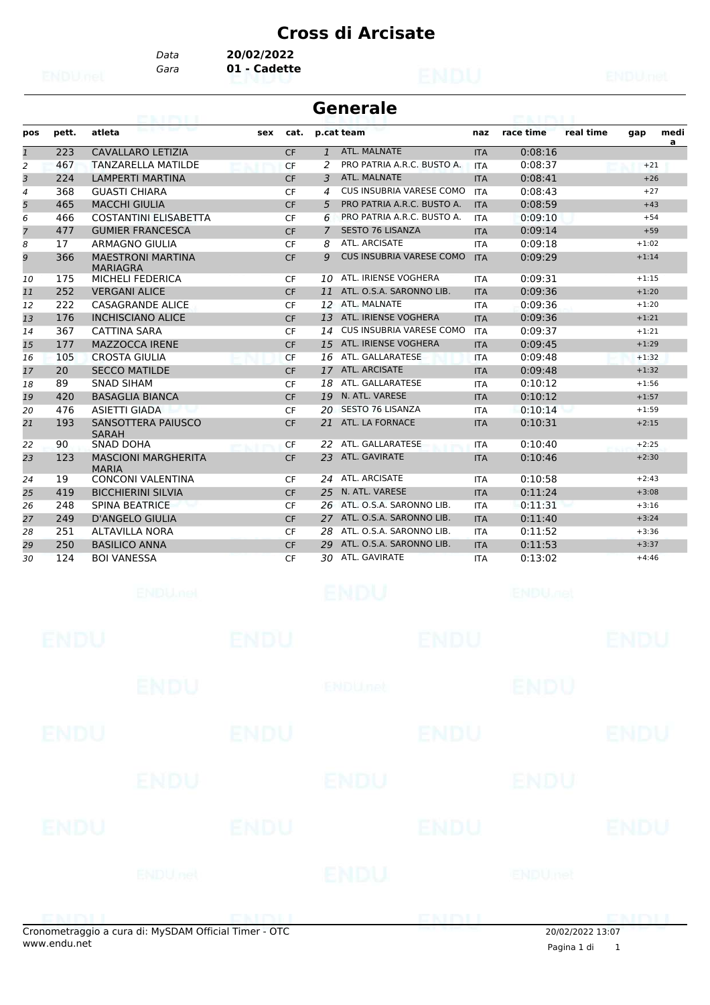*Data* **20/02/2022**

*Gara* **01 - Cadette**

|                |       | <b>CONTRACTOR</b>                           |     |           |              | <b>Generale</b>                 |            |           |           |         |           |
|----------------|-------|---------------------------------------------|-----|-----------|--------------|---------------------------------|------------|-----------|-----------|---------|-----------|
| pos            | pett. | atleta                                      | sex | cat.      |              | p.cat team                      | naz        | race time | real time | gap     | medi<br>a |
| $\mathbf{1}$   | 223   | <b>CAVALLARO LETIZIA</b>                    |     | <b>CF</b> | $\mathbf{1}$ | ATL. MALNATE                    | <b>ITA</b> | 0:08:16   |           |         |           |
| 2              | 467   | <b>TANZARELLA MATILDE</b>                   |     | CF        | 2            | PRO PATRIA A.R.C. BUSTO A.      | <b>ITA</b> | 0:08:37   |           | $+21$   |           |
| 3              | 224   | <b>LAMPERTI MARTINA</b>                     |     | <b>CF</b> | 3            | ATL. MALNATE                    | <b>ITA</b> | 0:08:41   |           | $+26$   |           |
| $\overline{4}$ | 368   | <b>GUASTI CHIARA</b>                        |     | <b>CF</b> | 4            | CUS INSUBRIA VARESE COMO        | <b>ITA</b> | 0:08:43   |           | $+27$   |           |
| 5              | 465   | <b>MACCHI GIULIA</b>                        |     | <b>CF</b> | 5            | PRO PATRIA A.R.C. BUSTO A.      | <b>ITA</b> | 0:08:59   |           | $+43$   |           |
| 6              | 466   | <b>COSTANTINI ELISABETTA</b>                |     | <b>CF</b> | 6            | PRO PATRIA A.R.C. BUSTO A.      | <b>ITA</b> | 0:09:10   |           | $+54$   |           |
| $\overline{z}$ | 477   | <b>GUMIER FRANCESCA</b>                     |     | <b>CF</b> | 7            | <b>SESTO 76 LISANZA</b>         | <b>ITA</b> | 0:09:14   |           | $+59$   |           |
| 8              | 17    | <b>ARMAGNO GIULIA</b>                       |     | CF        | 8            | ATL. ARCISATE                   | <b>ITA</b> | 0:09:18   |           | $+1:02$ |           |
| 9              | 366   | <b>MAESTRONI MARTINA</b><br><b>MARIAGRA</b> |     | <b>CF</b> | 9            | <b>CUS INSUBRIA VARESE COMO</b> | <b>ITA</b> | 0:09:29   |           | $+1:14$ |           |
| 10             | 175   | <b>MICHELI FEDERICA</b>                     |     | <b>CF</b> | 10           | ATL. IRIENSE VOGHERA            | <b>ITA</b> | 0:09:31   |           | $+1:15$ |           |
| 11             | 252   | <b>VERGANI ALICE</b>                        |     | <b>CF</b> | 11           | ATL. O.S.A. SARONNO LIB.        | <b>ITA</b> | 0:09:36   |           | $+1:20$ |           |
| 12             | 222   | <b>CASAGRANDE ALICE</b>                     |     | <b>CF</b> | 12           | ATL, MALNATE                    | <b>ITA</b> | 0:09:36   |           | $+1:20$ |           |
| 13             | 176   | <b>INCHISCIANO ALICE</b>                    |     | <b>CF</b> | 13           | ATL. IRIENSE VOGHERA            | <b>ITA</b> | 0:09:36   |           | $+1:21$ |           |
| 14             | 367   | <b>CATTINA SARA</b>                         |     | <b>CF</b> | 14           | CUS INSUBRIA VARESE COMO        | <b>ITA</b> | 0:09:37   |           | $+1:21$ |           |
| 15             | 177   | <b>MAZZOCCA IRENE</b>                       |     | <b>CF</b> | 15           | ATL. IRIENSE VOGHERA            | <b>ITA</b> | 0:09:45   |           | $+1:29$ |           |
| 16             | 105   | <b>CROSTA GIULIA</b>                        |     | <b>CF</b> | 16           | ATL. GALLARATESE                | <b>ITA</b> | 0:09:48   |           | $+1:32$ |           |
| 17             | 20    | <b>SECCO MATILDE</b>                        |     | <b>CF</b> | 17           | <b>ATL. ARCISATE</b>            | <b>ITA</b> | 0:09:48   |           | $+1:32$ |           |
| 18             | 89    | <b>SNAD SIHAM</b>                           |     | CF        | 18           | ATL. GALLARATESE                | <b>ITA</b> | 0:10:12   |           | $+1:56$ |           |
| 19             | 420   | <b>BASAGLIA BIANCA</b>                      |     | <b>CF</b> | 19           | N. ATL. VARESE                  | <b>ITA</b> | 0:10:12   |           | $+1:57$ |           |
| 20             | 476   | <b>ASIETTI GIADA</b>                        |     | CF        | 20           | <b>SESTO 76 LISANZA</b>         | <b>ITA</b> | 0:10:14   |           | $+1:59$ |           |
| 21             | 193   | SANSOTTERA PAIUSCO<br><b>SARAH</b>          |     | <b>CF</b> | 21           | ATL. LA FORNACE                 | <b>ITA</b> | 0:10:31   |           | $+2:15$ |           |
| 22             | 90    | <b>SNAD DOHA</b>                            |     | CF        | 22           | ATL. GALLARATESE                | <b>ITA</b> | 0:10:40   |           | $+2:25$ |           |
| 23             | 123   | <b>MASCIONI MARGHERITA</b><br><b>MARIA</b>  |     | <b>CF</b> | 23           | ATL. GAVIRATE                   | <b>ITA</b> | 0:10:46   |           | $+2:30$ |           |
| 24             | 19    | <b>CONCONI VALENTINA</b>                    |     | CF        | 24           | ATL. ARCISATE                   | <b>ITA</b> | 0:10:58   |           | $+2:43$ |           |
| 25             | 419   | <b>BICCHIERINI SILVIA</b>                   |     | <b>CF</b> | 25           | N. ATL. VARESE                  | <b>ITA</b> | 0:11:24   |           | $+3:08$ |           |
| 26             | 248   | <b>SPINA BEATRICE</b>                       |     | <b>CF</b> | 26           | ATL, O.S.A. SARONNO LIB.        | <b>ITA</b> | 0:11:31   |           | $+3:16$ |           |
| 27             | 249   | <b>D'ANGELO GIULIA</b>                      |     | <b>CF</b> | 27           | ATL, O.S.A. SARONNO LIB.        | <b>ITA</b> | 0:11:40   |           | $+3:24$ |           |
| 28             | 251   | <b>ALTAVILLA NORA</b>                       |     | CF        | 28           | ATL. O.S.A. SARONNO LIB.        | <b>ITA</b> | 0:11:52   |           | $+3:36$ |           |
| 29             | 250   | <b>BASILICO ANNA</b>                        |     | <b>CF</b> | 29           | ATL. O.S.A. SARONNO LIB.        | <b>ITA</b> | 0:11:53   |           | $+3:37$ |           |
| 30             | 124   | <b>BOI VANESSA</b>                          |     | CF        | 30           | ATL. GAVIRATE                   | <b>ITA</b> | 0:13:02   |           | $+4:46$ |           |

|             | onometraggio a cura di: MySDAM Official Timer - OTC |             |                | ENM         | 20/02/2022 13:07 | <b>DNIMI</b> |
|-------------|-----------------------------------------------------|-------------|----------------|-------------|------------------|--------------|
|             | <b>ENDU</b> nel                                     |             | ENDU           |             | ENDUmet          |              |
| <b>ENDU</b> |                                                     | <b>ENDU</b> |                | <b>ENDU</b> |                  | <b>ENDU</b>  |
|             | <b>ENDU</b>                                         |             | <b>ENDU</b>    |             | ENDU             |              |
| <b>ENDU</b> |                                                     | <b>ENDU</b> |                | <b>ENDU</b> |                  | ENDU         |
|             | <b>ENDU</b>                                         |             | <b>ENDUmet</b> |             | <b>ENDU</b>      |              |
| <b>ENDU</b> |                                                     | <b>ENDU</b> |                | <b>ENDU</b> |                  | <b>ENDU</b>  |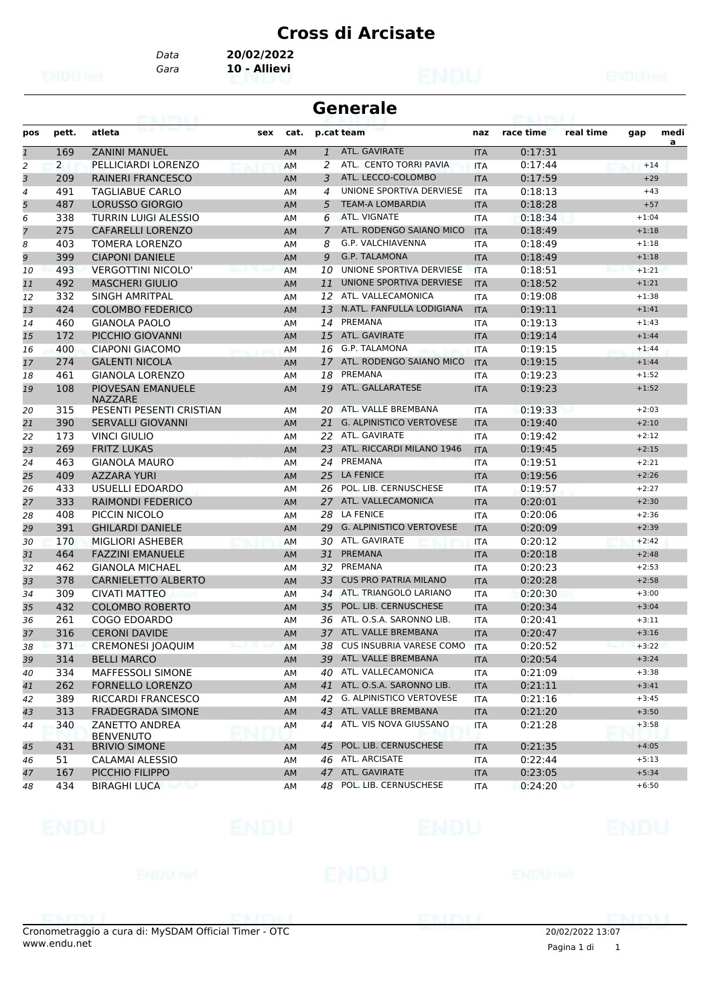*Gara* **10 - Allievi** *Data* **20/02/2022**

|              |       | 63. I IN LI                         |     |           |                | <b>Generale</b>                 |            |           |           |         |           |
|--------------|-------|-------------------------------------|-----|-----------|----------------|---------------------------------|------------|-----------|-----------|---------|-----------|
| pos          | pett. | atleta                              | sex | cat.      | p.cat team     |                                 | naz        | race time | real time | gap     | medi<br>a |
| $\mathbf{1}$ | 169   | <b>ZANINI MANUEL</b>                |     | AM        | $\mathbf{1}$   | ATL. GAVIRATE                   | <b>ITA</b> | 0:17:31   |           |         |           |
| 2            | 2     | PELLICIARDI LORENZO                 |     | <b>AM</b> | 2              | ATL. CENTO TORRI PAVIA          | <b>ITA</b> | 0:17:44   |           | $+14$   |           |
| 3            | 209   | <b>RAINERI FRANCESCO</b>            |     | AM        | 3              | ATL. LECCO-COLOMBO              | <b>ITA</b> | 0:17:59   |           | $+29$   |           |
| 4            | 491   | <b>TAGLIABUE CARLO</b>              |     | AM        | 4              | UNIONE SPORTIVA DERVIESE        | <b>ITA</b> | 0:18:13   |           | $+43$   |           |
| 5            | 487   | <b>LORUSSO GIORGIO</b>              |     | <b>AM</b> | 5              | <b>TEAM-A LOMBARDIA</b>         | <b>ITA</b> | 0:18:28   |           | $+57$   |           |
| 6            | 338   | TURRIN LUIGI ALESSIO                |     | AM        | 6              | ATL. VIGNATE                    | <b>ITA</b> | 0:18:34   |           | $+1:04$ |           |
|              | 275   | <b>CAFARELLI LORENZO</b>            |     | AM        | $\overline{7}$ | ATL. RODENGO SAIANO MICO        | <b>ITA</b> | 0:18:49   |           | $+1:18$ |           |
| 8            | 403   | TOMERA LORENZO                      |     | AM        | 8              | G.P. VALCHIAVENNA               | <b>ITA</b> | 0:18:49   |           | $+1:18$ |           |
| 9            | 399   | <b>CIAPONI DANIELE</b>              |     | AM        | 9              | <b>G.P. TALAMONA</b>            | <b>ITA</b> | 0:18:49   |           | $+1:18$ |           |
| 10           | 493   | <b>VERGOTTINI NICOLO'</b>           |     | AM        | 10             | UNIONE SPORTIVA DERVIESE        | <b>ITA</b> | 0:18:51   |           | $+1:21$ |           |
| 11           | 492   | <b>MASCHERI GIULIO</b>              |     | <b>AM</b> | 11             | UNIONE SPORTIVA DERVIESE        | <b>ITA</b> | 0:18:52   |           | $+1:21$ |           |
| 12           | 332   | SINGH AMRITPAL                      |     | AM        | 12             | ATL. VALLECAMONICA              | <b>ITA</b> | 0:19:08   |           | $+1:38$ |           |
| 13           | 424   | <b>COLOMBO FEDERICO</b>             |     | AM        | 13             | N.ATL. FANFULLA LODIGIANA       | <b>ITA</b> | 0:19:11   |           | $+1:41$ |           |
| 14           | 460   | <b>GIANOLA PAOLO</b>                |     | AM        | 14             | PREMANA                         | <b>ITA</b> | 0:19:13   |           | $+1:43$ |           |
| 15           | 172   | PICCHIO GIOVANNI                    |     | AM        | 15             | ATL. GAVIRATE                   | <b>ITA</b> | 0:19:14   |           | $+1:44$ |           |
| 16           | 400   | CIAPONI GIACOMO                     |     | AM        | 16             | <b>G.P. TALAMONA</b>            | <b>ITA</b> | 0:19:15   |           | $+1:44$ |           |
| 17           | 274   | <b>GALENTI NICOLA</b>               |     | AM        | 17             | ATL. RODENGO SAIANO MICO        | <b>ITA</b> | 0:19:15   |           | $+1:44$ |           |
| 18           | 461   | <b>GIANOLA LORENZO</b>              |     | AM        | 18             | PREMANA                         | ITA        | 0:19:23   |           | $+1:52$ |           |
| 19           | 108   | PIOVESAN EMANUELE<br><b>NAZZARE</b> |     | AM        | 19             | ATL. GALLARATESE                | <b>ITA</b> | 0:19:23   |           | $+1:52$ |           |
| 20           | 315   | PESENTI PESENTI CRISTIAN            |     | AM        | 20             | ATL. VALLE BREMBANA             | <b>ITA</b> | 0:19:33   |           | $+2:03$ |           |
| 21           | 390   | <b>SERVALLI GIOVANNI</b>            |     | <b>AM</b> | 21             | <b>G. ALPINISTICO VERTOVESE</b> | <b>ITA</b> | 0:19:40   |           | $+2:10$ |           |
| 22           | 173   | <b>VINCI GIULIO</b>                 |     | AM        | 22             | ATL. GAVIRATE                   | <b>ITA</b> | 0:19:42   |           | $+2:12$ |           |
| 23           | 269   | <b>FRITZ LUKAS</b>                  |     | AM        | 23             | ATL. RICCARDI MILANO 1946       | <b>ITA</b> | 0:19:45   |           | $+2:15$ |           |
| 24           | 463   | <b>GIANOLA MAURO</b>                |     | AM        | 24             | PREMANA                         | <b>ITA</b> | 0:19:51   |           | $+2:21$ |           |
| 25           | 409   | <b>AZZARA YURI</b>                  |     | AM        | 25             | <b>LA FENICE</b>                | <b>ITA</b> | 0:19:56   |           | $+2:26$ |           |
| 26           | 433   | USUELLI EDOARDO                     |     | AM        | 26             | POL. LIB. CERNUSCHESE           | <b>ITA</b> | 0:19:57   |           | $+2:27$ |           |
| 27           | 333   | <b>RAIMONDI FEDERICO</b>            |     | <b>AM</b> | 27             | ATL. VALLECAMONICA              | <b>ITA</b> | 0:20:01   |           | $+2:30$ |           |
| 28           | 408   | PICCIN NICOLO                       |     | AM        | 28             | LA FENICE                       | ITA        | 0:20:06   |           | $+2:36$ |           |
| 29           | 391   | <b>GHILARDI DANIELE</b>             |     | AM        | 29             | <b>G. ALPINISTICO VERTOVESE</b> | <b>ITA</b> | 0:20:09   |           | $+2:39$ |           |
| 30           | 170   | <b>MIGLIORI ASHEBER</b>             |     | <b>AM</b> | 30             | ATL. GAVIRATE                   | <b>ITA</b> | 0:20:12   |           | $+2:42$ |           |
| 31           | 464   | <b>FAZZINI EMANUELE</b>             |     | AM        | 31             | <b>PREMANA</b>                  | <b>ITA</b> | 0:20:18   |           | $+2:48$ |           |
| 32           | 462   | <b>GIANOLA MICHAEL</b>              |     |           | 32             | PREMANA                         | <b>ITA</b> | 0:20:23   |           | $+2:53$ |           |
|              | 378   |                                     |     | AM        | 33             | <b>CUS PRO PATRIA MILANO</b>    | <b>ITA</b> | 0:20:28   |           | $+2:58$ |           |
| 33           |       | <b>CARNIELETTO ALBERTO</b>          |     | <b>AM</b> |                | ATL. TRIANGOLO LARIANO          |            |           |           |         |           |
| 34           | 309   | <b>CIVATI MATTEO</b>                |     | AM        | 34             | POL. LIB. CERNUSCHESE           | ITA        | 0:20:30   |           | $+3:00$ |           |
| 35           | 432   | <b>COLOMBO ROBERTO</b>              |     | AM        | 35             | ATL. O.S.A. SARONNO LIB.        | <b>ITA</b> | 0:20:34   |           | $+3:04$ |           |
| 36           | 261   | <b>COGO EDOARDO</b>                 |     | AM        | 36             |                                 | <b>ITA</b> | 0:20:41   |           | $+3:11$ |           |
| 37           | 316   | <b>CERONI DAVIDE</b>                |     | AM        | 37             | ATL. VALLE BREMBANA             | <b>ITA</b> | 0:20:47   |           | $+3:16$ |           |
| 38           | 371   | CREMONESI JOAQUIM                   |     | AM        |                | 38 CUS INSUBRIA VARESE COMO     | <b>ITA</b> | 0:20:52   |           | $+3:22$ |           |
| 39           | 314   | <b>BELLI MARCO</b>                  |     | AM        | 39             | ATL. VALLE BREMBANA             | <b>ITA</b> | 0:20:54   |           | $+3:24$ |           |
| 40           | 334   | MAFFESSOLI SIMONE                   |     | AM        | 40             | ATL. VALLECAMONICA              | ITA        | 0:21:09   |           | $+3:38$ |           |
| 41           | 262   | <b>FORNELLO LORENZO</b>             |     | AM        |                | 41 ATL. O.S.A. SARONNO LIB.     | <b>ITA</b> | 0:21:11   |           | $+3:41$ |           |
| 42           | 389   | RICCARDI FRANCESCO                  |     | AM        | 42             | <b>G. ALPINISTICO VERTOVESE</b> | ITA        | 0:21:16   |           | $+3:45$ |           |
| 43           | 313   | <b>FRADEGRADA SIMONE</b>            |     | AM        | 43             | ATL. VALLE BREMBANA             | <b>ITA</b> | 0:21:20   |           | $+3:50$ |           |
| 44           | 340   | ZANETTO ANDREA<br><b>BENVENUTO</b>  |     | AM        | 44             | ATL. VIS NOVA GIUSSANO          | ITA        | 0:21:28   |           | $+3:58$ |           |
| 45           | 431   | <b>BRIVIO SIMONE</b>                |     | AM        |                | 45 POL. LIB. CERNUSCHESE        | <b>ITA</b> | 0:21:35   |           | $+4:05$ |           |
| 46           | 51    | CALAMAI ALESSIO                     |     | AM        | 46             | ATL. ARCISATE                   | ITA        | 0:22:44   |           | $+5:13$ |           |
| 47           | 167   | PICCHIO FILIPPO                     |     | AM        |                | 47 ATL. GAVIRATE                | <b>ITA</b> | 0:23:05   |           | $+5:34$ |           |
| 48           | 434   | <b>BIRAGHI LUCA</b>                 |     | AM        | 48             | POL. LIB. CERNUSCHESE           | ITA        | 0:24:20   |           | $+6:50$ |           |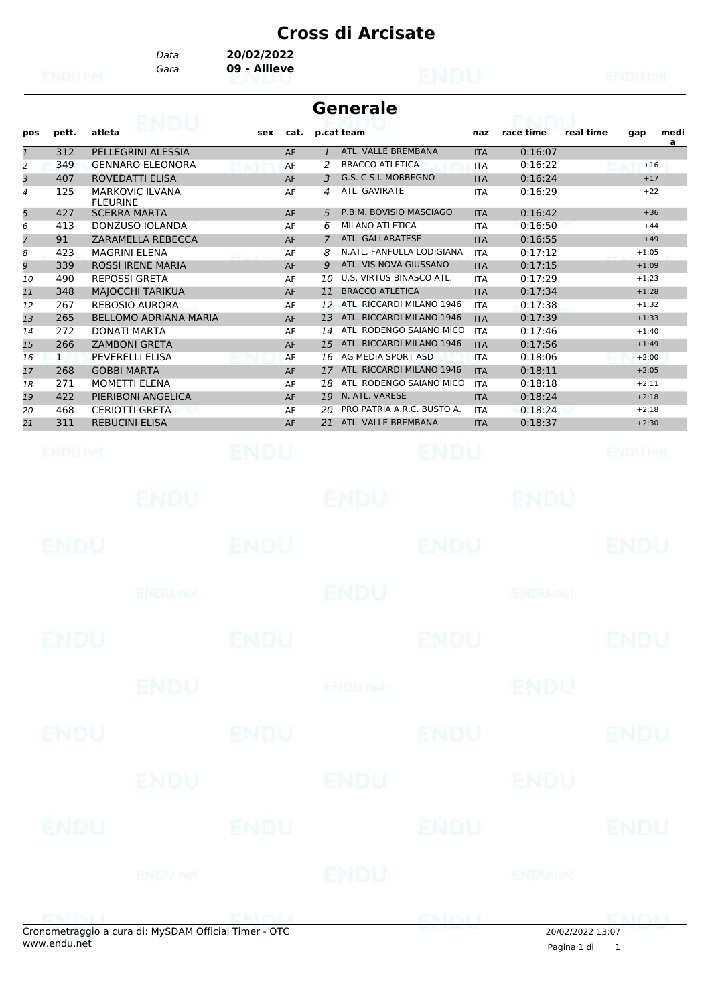*Gara* **09 - Allieve** *Data* **20/02/2022**

|                |              | <b>CALIFY E</b>                           |             |          |                | <b>Generale</b>                                 |                          | <b>POLE PAID</b>          |           |                    |           |
|----------------|--------------|-------------------------------------------|-------------|----------|----------------|-------------------------------------------------|--------------------------|---------------------------|-----------|--------------------|-----------|
| pos            | pett.        | atleta                                    | sex         | cat.     |                | p.cat team                                      | naz                      | race time                 | real time | gap                | medi<br>a |
| $\mathbf{1}$   | 312          | PELLEGRINI ALESSIA                        |             | AF       | $\mathbf{1}$   | ATL. VALLE BREMBANA                             | <b>ITA</b>               | 0:16:07                   |           |                    |           |
| 2              | 349          | <b>GENNARO ELEONORA</b>                   |             | AF       | 2              | <b>BRACCO ATLETICA</b>                          | <b>ITA</b>               | 0:16:22                   |           | $+16$              |           |
| 3              | 407          | ROVEDATTI ELISA                           |             | AF       | 3              | G.S. C.S.I. MORBEGNO                            | <b>ITA</b>               | 0:16:24                   |           | $+17$              |           |
| $\overline{4}$ | 125          | <b>MARKOVIC ILVANA</b><br><b>FLEURINE</b> |             | AF       | 4              | ATL. GAVIRATE                                   | <b>ITA</b>               | 0:16:29                   |           | $+22$              |           |
| 5              | 427          | <b>SCERRA MARTA</b>                       |             | AF       | 5              | P.B.M. BOVISIO MASCIAGO                         | <b>ITA</b>               | 0:16:42                   |           | $+36$              |           |
| 6              | 413          | DONZUSO IOLANDA                           |             | AF       | 6              | <b>MILANO ATLETICA</b>                          | <b>ITA</b>               | 0:16:50                   |           | $+44$              |           |
| $\overline{7}$ | 91           | ZARAMELLA REBECCA                         |             | AF       | $\overline{7}$ | ATL. GALLARATESE                                | <b>ITA</b>               | 0:16:55                   |           | $+49$              |           |
| 8              | 423          | <b>MAGRINI ELENA</b>                      |             | AF       | 8              | N.ATL. FANFULLA LODIGIANA                       | <b>ITA</b>               | 0:17:12                   |           | $+1:05$            |           |
| 9              | 339          | <b>ROSSI IRENE MARIA</b>                  |             | AF       | 9              | ATL. VIS NOVA GIUSSANO                          | <b>ITA</b>               | 0:17:15                   |           | $+1:09$            |           |
| 10             | 490          | <b>REPOSSI GRETA</b>                      |             | AF       | 10             | U.S. VIRTUS BINASCO ATL.                        | <b>ITA</b>               | 0:17:29                   |           | $+1:23$            |           |
| 11             | 348          | <b>MAJOCCHI TARIKUA</b>                   |             | AF       | 11             | <b>BRACCO ATLETICA</b>                          | <b>ITA</b>               | 0:17:34                   |           | $+1:28$            |           |
| 12             | 267          | <b>REBOSIO AURORA</b>                     |             | AF       | 12             | ATL. RICCARDI MILANO 1946                       | <b>ITA</b>               | 0:17:38                   |           | $+1:32$            |           |
| 13             | 265          | <b>BELLOMO ADRIANA MARIA</b>              |             | AF       | 13             | ATL. RICCARDI MILANO 1946                       | <b>ITA</b>               | 0:17:39                   |           | $+1:33$            |           |
| 14             | 272          | DONATI MARTA                              |             | AF       | 14             | ATL. RODENGO SAIANO MICO                        | <b>ITA</b>               | 0:17:46                   |           | $+1:40$            |           |
| 15             | 266          | <b>ZAMBONI GRETA</b>                      |             | AF       | 15             | ATL. RICCARDI MILANO 1946                       | <b>ITA</b>               | 0:17:56                   |           | $+1:49$            |           |
| 16             | $\mathbf{1}$ | PEVERELLI ELISA<br><b>GOBBI MARTA</b>     |             | AF       | 16             | AG MEDIA SPORT ASD<br>ATL. RICCARDI MILANO 1946 | <b>ITA</b>               | 0:18:06                   |           | $+2:00$            |           |
| 17             | 268<br>271   | <b>MOMETTI ELENA</b>                      |             | AF       | 17<br>18       | ATL. RODENGO SAIANO MICO                        | <b>ITA</b>               | 0:18:11<br>0:18:18        |           | $+2:05$<br>$+2:11$ |           |
| 18<br>19       | 422          | PIERIBONI ANGELICA                        |             | AF<br>AF | 19             | N. ATL. VARESE                                  | <b>ITA</b><br><b>ITA</b> | 0:18:24                   |           | $+2:18$            |           |
| 20             | 468          | <b>CERIOTTI GRETA</b>                     |             | AF       | 20             | PRO PATRIA A.R.C. BUSTO A.                      | <b>ITA</b>               | 0:18:24                   |           | $+2:18$            |           |
| 21             | 311          | <b>REBUCINI ELISA</b>                     |             | AF       | 21             | ATL. VALLE BREMBANA                             | <b>ITA</b>               | 0:18:37                   |           | $+2:30$            |           |
|                |              |                                           |             |          |                |                                                 |                          |                           |           |                    |           |
|                | ENDUMet      |                                           | ENDU        |          |                | ENDU                                            |                          |                           |           | ENDUnet            |           |
|                |              | EN DU.                                    |             |          |                | ENDU                                            |                          | ENDU                      |           |                    |           |
|                | ENDU         |                                           | ENDU        |          |                | ENDU                                            |                          |                           |           | ENDU               |           |
|                |              | <b>ENDU<sub>met</sub></b>                 |             |          |                | ENDU                                            |                          | <b>ENDU<sub>met</sub></b> |           |                    |           |
|                | ENDU         |                                           | ENDU        |          |                | ENDU                                            |                          |                           |           | ENDU               |           |
|                |              | <b>ENDU</b>                               |             |          |                | <b>ENDUnet</b>                                  |                          | <b>ENDU</b>               |           |                    |           |
|                | ENDU         |                                           | <b>ENDU</b> |          |                | <b>ENDU</b>                                     |                          |                           |           | ENDU               |           |
|                |              | ENDU                                      |             |          |                | ENDU                                            |                          | ENDU                      |           |                    |           |
|                | ENDU         |                                           | <b>ENDU</b> |          |                | ENDU                                            |                          |                           |           | <b>ENDU</b>        |           |
|                |              | ENDUnet                                   |             |          |                | ENDU                                            |                          | <b>ENDUmet</b>            |           |                    |           |
|                |              |                                           |             |          |                |                                                 |                          |                           |           |                    |           |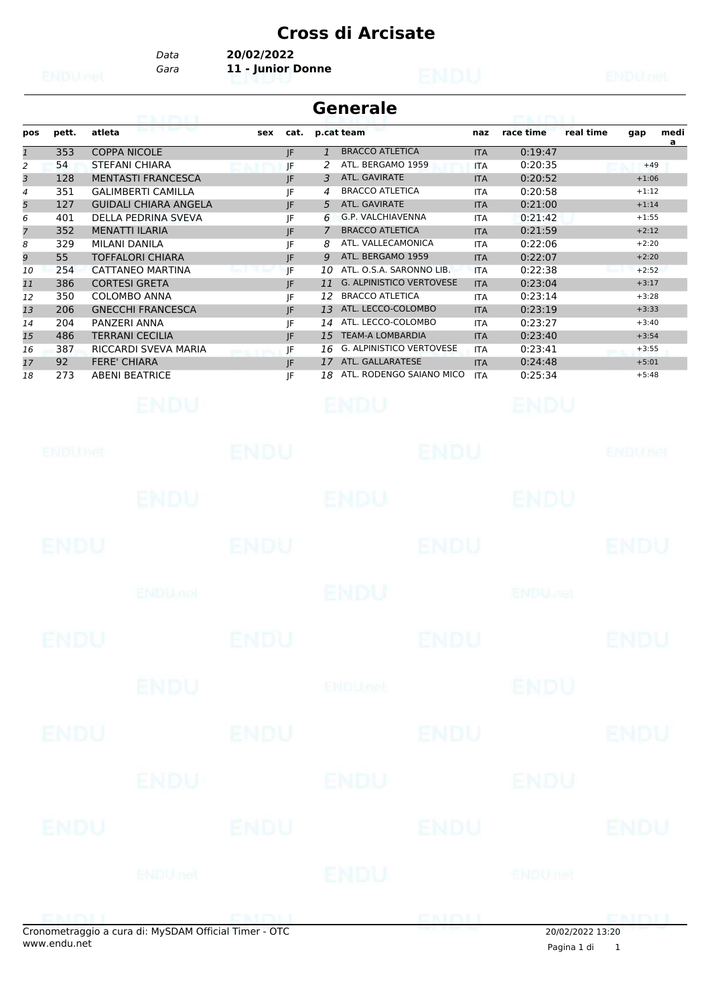*Gara* **11 - Junior Donne** *Data* **20/02/2022**

|                | <b>Generale</b><br><b>PERSONAL PROPERTY</b> |                                    |     |      |                |                                 |            |           |           |         |           |
|----------------|---------------------------------------------|------------------------------------|-----|------|----------------|---------------------------------|------------|-----------|-----------|---------|-----------|
| pos            | pett.                                       | <b>Bank British Book</b><br>atleta | sex | cat. |                | p.cat team                      | naz        | race time | real time | gap     | medi<br>a |
| $\mathbf{1}$   | 353                                         | <b>COPPA NICOLE</b>                |     | JF   | 1              | <b>BRACCO ATLETICA</b>          | <b>ITA</b> | 0:19:47   |           |         |           |
| 2              | 54                                          | <b>STEFANI CHIARA</b>              |     | JF   |                | ATL. BERGAMO 1959               | <b>ITA</b> | 0:20:35   |           | $+49$   |           |
| 3              | 128                                         | <b>MENTASTI FRANCESCA</b>          |     | IF   | 3              | ATL. GAVIRATE                   | <b>ITA</b> | 0:20:52   |           | $+1:06$ |           |
| 4              | 351                                         | <b>GALIMBERTI CAMILLA</b>          |     | JF   | 4              | <b>BRACCO ATLETICA</b>          | <b>ITA</b> | 0:20:58   |           | $+1:12$ |           |
| 5              | 127                                         | <b>GUIDALI CHIARA ANGELA</b>       |     | JF   | 5              | ATL. GAVIRATE                   | <b>ITA</b> | 0:21:00   |           | $+1:14$ |           |
| 6              | 401                                         | DELLA PEDRINA SVEVA                |     | JF   | 6              | G.P. VALCHIAVENNA               | <b>ITA</b> | 0:21:42   |           | $+1:55$ |           |
| $\overline{7}$ | 352                                         | <b>MENATTI ILARIA</b>              |     | IF   | $\overline{7}$ | <b>BRACCO ATLETICA</b>          | <b>ITA</b> | 0:21:59   |           | $+2:12$ |           |
| 8              | 329                                         | MILANI DANILA                      |     | JF   | 8              | ATL. VALLECAMONICA              | <b>ITA</b> | 0:22:06   |           | $+2:20$ |           |
| 9              | 55                                          | <b>TOFFALORI CHIARA</b>            |     | JF   | 9              | ATL. BERGAMO 1959               | <b>ITA</b> | 0:22:07   |           | $+2:20$ |           |
| 10             | 254                                         | CATTANEO MARTINA                   |     | IF   | 10             | ATL. O.S.A. SARONNO LIB.        | <b>ITA</b> | 0:22:38   |           | $+2:52$ |           |
| 11             | 386                                         | <b>CORTESI GRETA</b>               |     | JF.  | 11             | <b>G. ALPINISTICO VERTOVESE</b> | <b>ITA</b> | 0:23:04   |           | $+3:17$ |           |
| 12             | 350                                         | <b>COLOMBO ANNA</b>                |     | IF   | 12             | <b>BRACCO ATLETICA</b>          | <b>ITA</b> | 0:23:14   |           | $+3:28$ |           |
| 13             | 206                                         | <b>GNECCHI FRANCESCA</b>           |     | JF   | 13             | ATL. LECCO-COLOMBO              | <b>ITA</b> | 0:23:19   |           | $+3:33$ |           |
| 14             | 204                                         | PANZERI ANNA                       |     | IF   | 14             | ATL. LECCO-COLOMBO              | <b>ITA</b> | 0:23:27   |           | $+3:40$ |           |
| 15             | 486                                         | <b>TERRANI CECILIA</b>             |     | IF   | 15             | <b>TEAM-A LOMBARDIA</b>         | <b>ITA</b> | 0:23:40   |           | $+3:54$ |           |
| 16             | 387                                         | RICCARDI SVEVA MARIA               |     | JF   | 16             | <b>G. ALPINISTICO VERTOVESE</b> | <b>ITA</b> | 0:23:41   |           | $+3:55$ |           |
| 17             | 92                                          | <b>FERE' CHIARA</b>                |     | IF   | 17             | ATL. GALLARATESE                | <b>ITA</b> | 0:24:48   |           | $+5:01$ |           |
| 18             | 273                                         | <b>ABENI BEATRICE</b>              |     | IF   | 18             | ATL. RODENGO SAIANO MICO        | <b>ITA</b> | 0:25:34   |           | $+5:48$ |           |
|                |                                             |                                    |     |      |                |                                 |            |           |           |         |           |

| ENDUMet            |                                      | ENDU        |                | <b>ENDU</b> |                           | <b>ENDUnet</b> |
|--------------------|--------------------------------------|-------------|----------------|-------------|---------------------------|----------------|
|                    | <b>ENDU</b>                          |             | <b>ENDU</b>    |             | <b>ENDU</b>               |                |
| ENDU               |                                      | ENDU        |                | ENDU        |                           | <b>ENDU</b>    |
|                    | <b>ENDU<sub>met</sub></b>            |             | ENDU           |             | <b>ENDU<sub>DEL</sub></b> |                |
| <b>ENDU</b>        |                                      | <b>ENDU</b> |                | <b>ENDU</b> |                           | <b>ENDU</b>    |
|                    | <b>ENDU</b>                          |             | <b>ENDUmet</b> |             | <b>ENDU</b>               |                |
| ENDU               |                                      | <b>ENDU</b> |                | <b>ENDU</b> |                           | <b>ENDU</b>    |
|                    | ENDU                                 |             | ENDU           |             | ENDU                      |                |
| ENDU               |                                      | <b>ENDU</b> |                | <b>ENDU</b> |                           | <b>ENDU</b>    |
|                    | <b>ENDUnet</b>                       |             | <b>ENDU</b>    |             | ENDUmet                   |                |
| <u>riche de la</u> | $L = 11 M_1$ CDAM Official Times OTC |             |                | <b>ENDI</b> | 201001000010.00           |                |

 $\overline{\phantom{0}}$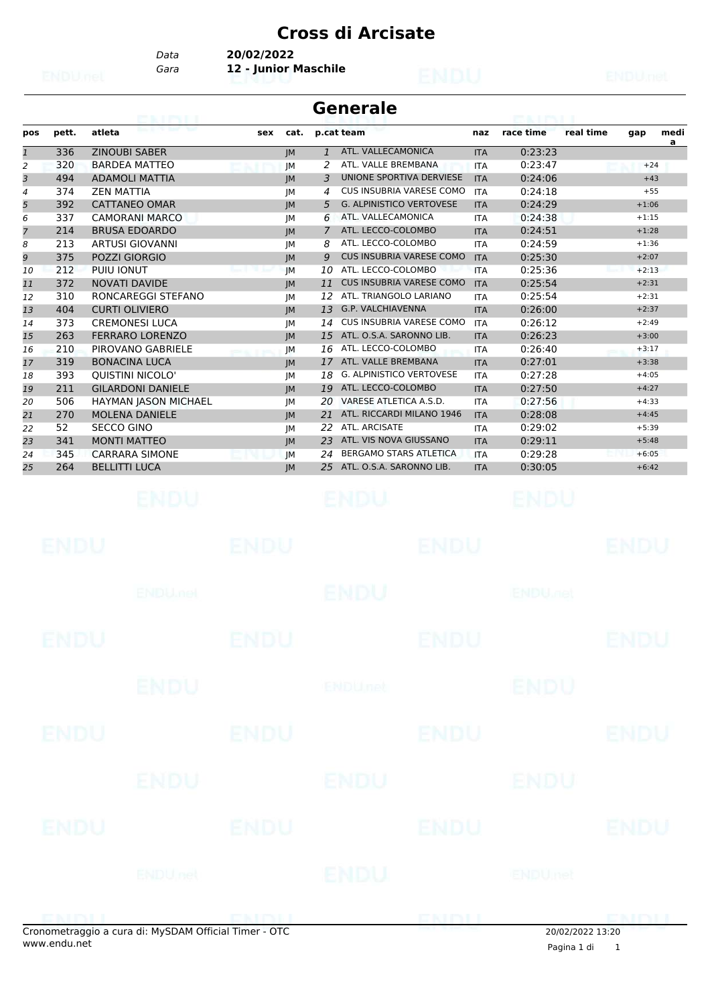*Data* **20/02/2022**

*Gara* **12 - Junior Maschile**

| <b>Generale</b><br>onimi                       |            |                                                            |             |                                                       |                          |                           |                    |      |
|------------------------------------------------|------------|------------------------------------------------------------|-------------|-------------------------------------------------------|--------------------------|---------------------------|--------------------|------|
| pos                                            | pett.      | atleta                                                     | sex<br>cat. | p.cat team                                            | naz                      | race time                 | real time<br>gap   | medi |
| $\mathbf{1}% \in\mathbb{Z}_{+}^{d}[z,\bar{z}]$ | 336        | <b>ZINOUBI SABER</b>                                       | JM          | ATL. VALLECAMONICA<br>$\mathbf{1}$                    | <b>ITA</b>               | 0:23:23                   |                    | a    |
| 2                                              | 320        | <b>BARDEA MATTEO</b>                                       | JM          | ATL. VALLE BREMBANA<br>2                              | <b>ITA</b>               | 0:23:47                   | $+24$              |      |
| 3                                              | 494        | <b>ADAMOLI MATTIA</b>                                      | JM          | UNIONE SPORTIVA DERVIESE<br>3                         | <b>ITA</b>               | 0:24:06                   | $+43$              |      |
| 4                                              | 374        | <b>ZEN MATTIA</b>                                          | JM          | CUS INSUBRIA VARESE COMO<br>4                         | <b>ITA</b>               | 0:24:18                   | $+55$              |      |
| 5                                              | 392        | <b>CATTANEO OMAR</b>                                       | IM          | <b>G. ALPINISTICO VERTOVESE</b><br>5.                 | <b>ITA</b>               | 0:24:29                   | $+1:06$            |      |
| 6                                              | 337        | <b>CAMORANI MARCO</b>                                      | JM          | ATL. VALLECAMONICA<br>6                               | <b>ITA</b>               | 0:24:38                   | $+1:15$            |      |
| 7                                              | 214        | <b>BRUSA EDOARDO</b>                                       | JM          | ATL. LECCO-COLOMBO<br>$\overline{7}$                  | <b>ITA</b>               | 0:24:51                   | $+1:28$            |      |
| 8                                              | 213        | <b>ARTUSI GIOVANNI</b>                                     | JM          | ATL. LECCO-COLOMBO<br>8                               | <b>ITA</b>               | 0:24:59                   | $+1:36$            |      |
| 9                                              | 375        | POZZI GIORGIO                                              | JM          | <b>CUS INSUBRIA VARESE COMO</b><br>9                  | <b>ITA</b>               | 0:25:30                   | $+2:07$            |      |
| 10                                             | 212        | PUIU IONUT                                                 | <b>IM</b>   | ATL. LECCO-COLOMBO<br>10                              | <b>ITA</b>               | 0:25:36                   | $+2:13$            |      |
| 11                                             | 372        | <b>NOVATI DAVIDE</b>                                       | IM          | <b>CUS INSUBRIA VARESE COMO</b><br>11                 | <b>ITA</b>               | 0:25:54                   | $+2:31$            |      |
| 12                                             | 310        | RONCAREGGI STEFANO                                         | JM          | ATL. TRIANGOLO LARIANO<br>12                          | <b>ITA</b>               | 0:25:54                   | $+2:31$            |      |
| 13                                             | 404        | <b>CURTI OLIVIERO</b>                                      | JM          | 13<br>G.P. VALCHIAVENNA                               | <b>ITA</b>               | 0:26:00                   | $+2:37$            |      |
| 14                                             | 373        | <b>CREMONESI LUCA</b>                                      | JM          | <b>CUS INSUBRIA VARESE COMO</b><br>14                 | <b>ITA</b>               | 0:26:12                   | $+2:49$            |      |
| 15                                             | 263        | <b>FERRARO LORENZO</b>                                     | JM          | ATL. O.S.A. SARONNO LIB.<br>15                        | <b>ITA</b>               | 0:26:23                   | $+3:00$            |      |
| 16                                             | 210        | PIROVANO GABRIELE                                          | JМ          | 16 ATL. LECCO-COLOMBO                                 | <b>ITA</b>               | 0:26:40                   | $+3:17$            |      |
| 17                                             | 319        | <b>BONACINA LUCA</b>                                       | JM          | ATL. VALLE BREMBANA<br>17<br>G. ALPINISTICO VERTOVESE | <b>ITA</b>               | 0:27:01                   | $+3:38$<br>$+4:05$ |      |
| 18                                             | 393<br>211 | <b>QUISTINI NICOLO'</b><br><b>GILARDONI DANIELE</b>        | JМ          | 18<br>19 ATL. LECCO-COLOMBO                           | <b>ITA</b>               | 0:27:28                   |                    |      |
| 19                                             | 506        |                                                            | JM          | 20 VARESE ATLETICA A.S.D.                             | <b>ITA</b>               | 0:27:50<br>0:27:56        | $+4:27$<br>$+4:33$ |      |
| 20                                             | 270        | <b>HAYMAN JASON MICHAEL</b><br><b>MOLENA DANIELE</b>       | JM          | ATL. RICCARDI MILANO 1946<br>21                       | <b>ITA</b><br><b>ITA</b> | 0:28:08                   | $+4:45$            |      |
| 21<br>22                                       | 52         | <b>SECCO GINO</b>                                          | JM<br>JМ    | 22 ATL. ARCISATE                                      | <b>ITA</b>               | 0:29:02                   | $+5:39$            |      |
| 23                                             | 341        | <b>MONTI MATTEO</b>                                        | IM          | ATL. VIS NOVA GIUSSANO<br>23                          | <b>ITA</b>               | 0:29:11                   | $+5:48$            |      |
| 24                                             | 345        | <b>CARRARA SIMONE</b>                                      | JM          | BERGAMO STARS ATLETICA<br>24                          | <b>ITA</b>               | 0:29:28                   | $+6:05$            |      |
| 25                                             | 264        | <b>BELLITTI LUCA</b>                                       | JM          | 25 ATL. O.S.A. SARONNO LIB.                           | <b>ITA</b>               | 0:30:05                   | $+6:42$            |      |
|                                                | ENDU       | ENDU.                                                      | ENDU        | ENDU<br>ENDU                                          |                          | ENDU                      | ENDU               |      |
|                                                |            | <b>ENDU net</b>                                            |             | ENDU                                                  |                          | <b>ENDU<sub>met</sub></b> |                    |      |
|                                                | ENDU       |                                                            | <b>ENDU</b> | <b>ENDU</b>                                           |                          |                           | <b>ENDU</b>        |      |
|                                                |            | <b>ENDU</b>                                                |             | <b>ENDUnct</b>                                        |                          | <b>ENDU</b>               |                    |      |
|                                                | ENDU       |                                                            | <b>ENDU</b> | <b>ENDU</b>                                           |                          |                           | <b>ENDU</b>        |      |
|                                                |            | ENDU                                                       |             | ENDU                                                  |                          | ENDU                      |                    |      |
|                                                | ENDU       |                                                            | <b>ENDU</b> | <b>ENDU</b>                                           |                          |                           | ENDU               |      |
|                                                |            | ENDU nel                                                   |             | ENDU                                                  |                          | <b>ENDUmet</b>            |                    |      |
|                                                |            |                                                            |             |                                                       |                          |                           |                    |      |
|                                                |            | -<br>Cronometraggio a cura di: MySDAM Official Timer - OTC |             |                                                       |                          |                           | 20/02/20223320     |      |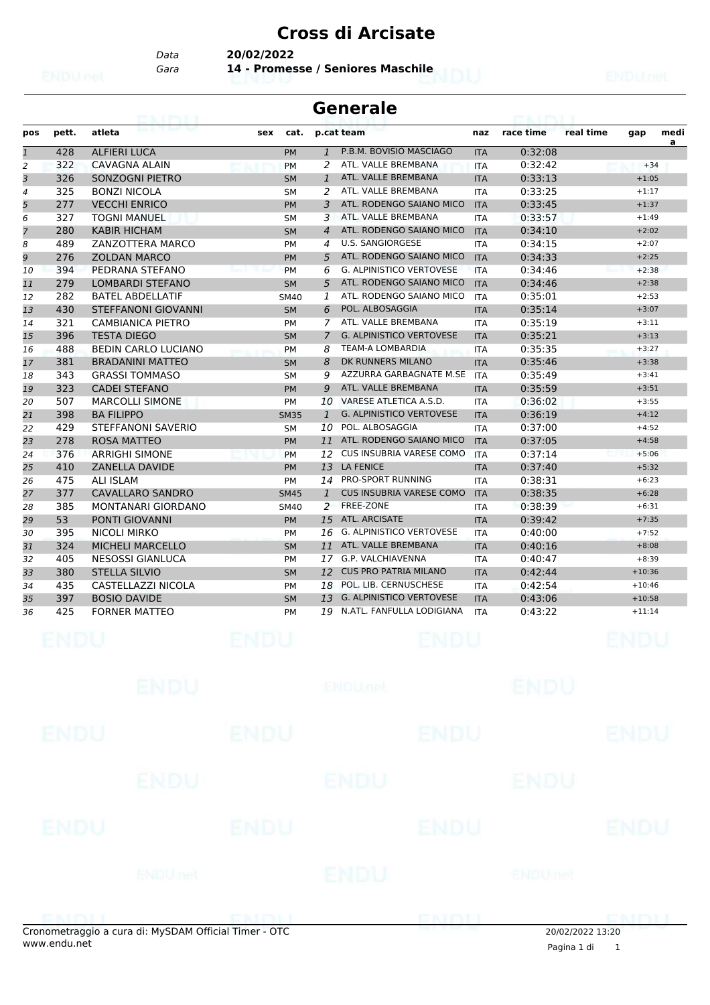*Data* **20/02/2022**

*Gara* **14 - Promesse / Seniores Maschile**

|                | <b>Generale</b> |                                                       |             |                        |                |                                                  |                          |                    |                  |                    |           |  |
|----------------|-----------------|-------------------------------------------------------|-------------|------------------------|----------------|--------------------------------------------------|--------------------------|--------------------|------------------|--------------------|-----------|--|
| pos            | pett.           | atleta                                                | sex         | cat.                   |                | p.cat team                                       | naz                      | race time          | real time        | gap                | medi<br>a |  |
| $\overline{1}$ | 428             | <b>ALFIERI LUCA</b>                                   |             | <b>PM</b>              | $\mathbf{1}$   | P.B.M. BOVISIO MASCIAGO                          | <b>ITA</b>               | 0:32:08            |                  |                    |           |  |
| 2              | 322             | CAVAGNA ALAIN                                         |             | <b>PM</b>              | 2              | ATL. VALLE BREMBANA<br>ATL. VALLE BREMBANA       | <b>ITA</b>               | 0:32:42            |                  | $+34$              |           |  |
| 3              | 326             | SONZOGNI PIETRO                                       |             | <b>SM</b>              | 1              | ATL. VALLE BREMBANA                              | <b>ITA</b>               | 0:33:13            |                  | $+1:05$            |           |  |
| 4<br>5         | 325<br>277      | <b>BONZI NICOLA</b><br><b>VECCHI ENRICO</b>           |             | <b>SM</b><br><b>PM</b> | 2<br>3         | ATL. RODENGO SAIANO MICO                         | <b>ITA</b><br><b>ITA</b> | 0:33:25<br>0:33:45 |                  | $+1:17$<br>$+1:37$ |           |  |
| 6              | 327             | <b>TOGNI MANUEL</b>                                   |             | <b>SM</b>              | 3              | ATL. VALLE BREMBANA                              | <b>ITA</b>               | 0:33:57            |                  | $+1:49$            |           |  |
| 7              | 280             | <b>KABIR HICHAM</b>                                   |             | <b>SM</b>              | $\overline{4}$ | ATL. RODENGO SAIANO MICO                         | <b>ITA</b>               | 0:34:10            |                  | $+2:02$            |           |  |
| 8              | 489             | ZANZOTTERA MARCO                                      |             | <b>PM</b>              | 4              | <b>U.S. SANGIORGESE</b>                          | <b>ITA</b>               | 0:34:15            |                  | $+2:07$            |           |  |
| 9              | 276             | <b>ZOLDAN MARCO</b>                                   |             | <b>PM</b>              | 5              | ATL, RODENGO SAIANO MICO                         | <b>ITA</b>               | 0:34:33            |                  | $+2:25$            |           |  |
| 10             | 394             | PEDRANA STEFANO                                       |             | <b>PM</b>              | 6              | <b>G. ALPINISTICO VERTOVESE</b>                  | <b>ITA</b>               | 0:34:46            |                  | $+2:38$            |           |  |
| 11             | 279             | <b>LOMBARDI STEFANO</b>                               |             | <b>SM</b>              | 5              | ATL. RODENGO SAIANO MICO                         | <b>ITA</b>               | 0:34:46            |                  | $+2:38$            |           |  |
| 12             | 282             | <b>BATEL ABDELLATIF</b>                               |             | <b>SM40</b>            | 1              | ATL. RODENGO SAIANO MICO                         | <b>ITA</b>               | 0:35:01            |                  | $+2:53$            |           |  |
| 13             | 430             | <b>STEFFANONI GIOVANNI</b>                            |             | <b>SM</b>              | 6              | POL. ALBOSAGGIA                                  | <b>ITA</b>               | 0:35:14            |                  | $+3:07$            |           |  |
| 14             | 321             | <b>CAMBIANICA PIETRO</b>                              |             | <b>PM</b>              | 7              | ATL. VALLE BREMBANA                              | <b>ITA</b>               | 0:35:19            |                  | $+3:11$            |           |  |
| 15             | 396             | <b>TESTA DIEGO</b>                                    |             | <b>SM</b>              | 7              | <b>G. ALPINISTICO VERTOVESE</b>                  | <b>ITA</b>               | 0:35:21            |                  | $+3:13$            |           |  |
| 16             | 488             | <b>BEDIN CARLO LUCIANO</b>                            |             | <b>PM</b>              | 8              | <b>TEAM-A LOMBARDIA</b>                          | <b>ITA</b>               | 0:35:35            |                  | $+3:27$            |           |  |
| 17             | 381             | <b>BRADANINI MATTEO</b>                               |             | <b>SM</b>              | 8              | DK RUNNERS MILANO                                | <b>ITA</b>               | 0:35:46            |                  | $+3:38$            |           |  |
| 18             | 343             | <b>GRASSI TOMMASO</b>                                 |             | <b>SM</b>              | 9              | AZZURRA GARBAGNATE M.SE                          | <b>ITA</b>               | 0:35:49            |                  | $+3:41$            |           |  |
| 19             | 323             | <b>CADEI STEFANO</b>                                  |             | <b>PM</b>              | 9              | ATL. VALLE BREMBANA                              | <b>ITA</b>               | 0:35:59            |                  | $+3:51$            |           |  |
| 20             | 507             | <b>MARCOLLI SIMONE</b>                                |             | PM                     | 10             | VARESE ATLETICA A.S.D.                           | <b>ITA</b>               | 0:36:02            |                  | $+3:55$            |           |  |
| 21             | 398             | <b>BA FILIPPO</b>                                     |             | <b>SM35</b>            | 1              | <b>G. ALPINISTICO VERTOVESE</b>                  | <b>ITA</b>               | 0:36:19            |                  | $+4:12$            |           |  |
| 22             | 429             | STEFFANONI SAVERIO                                    |             | <b>SM</b>              | 10             | POL. ALBOSAGGIA                                  | <b>ITA</b>               | 0:37:00            |                  | $+4:52$            |           |  |
| 23             | 278             | <b>ROSA MATTEO</b>                                    |             | <b>PM</b>              |                | 11 ATL. RODENGO SAIANO MICO                      | <b>ITA</b>               | 0:37:05            |                  | $+4:58$            |           |  |
| 24             | 376             | <b>ARRIGHI SIMONE</b>                                 |             | <b>PM</b>              | 12             | CUS INSUBRIA VARESE COMO                         | <b>ITA</b>               | 0:37:14            |                  | $+5:06$            |           |  |
| 25             | 410             | <b>ZANELLA DAVIDE</b>                                 |             | <b>PM</b>              |                | 13 LA FENICE                                     | <b>ITA</b>               | 0:37:40            |                  | $+5:32$            |           |  |
| 26             | 475             | <b>ALI ISLAM</b>                                      |             | PM                     |                | 14 PRO-SPORT RUNNING                             | <b>ITA</b>               | 0:38:31            |                  | $+6:23$            |           |  |
| 27             | 377             | <b>CAVALLARO SANDRO</b>                               |             | <b>SM45</b>            | $\mathbf{1}$   | <b>CUS INSUBRIA VARESE COMO</b>                  | <b>ITA</b>               | 0:38:35            |                  | $+6:28$            |           |  |
| 28             | 385             | MONTANARI GIORDANO                                    |             | <b>SM40</b>            | 2              | FREE-ZONE                                        | <b>ITA</b>               | 0:38:39            |                  | $+6:31$            |           |  |
| 29             | 53              | <b>PONTI GIOVANNI</b>                                 |             | <b>PM</b>              | 15             | ATL. ARCISATE<br><b>G. ALPINISTICO VERTOVESE</b> | <b>ITA</b>               | 0:39:42            |                  | $+7:35$            |           |  |
| 30             | 395<br>324      | <b>NICOLI MIRKO</b><br><b>MICHELI MARCELLO</b>        |             | <b>PM</b>              | 16             | 11 ATL. VALLE BREMBANA                           | <b>ITA</b>               | 0:40:00<br>0:40:16 |                  | $+7:52$<br>$+8:08$ |           |  |
| 31             | 405             | NESOSSI GIANLUCA                                      |             | <b>SM</b><br><b>PM</b> | 17             | G.P. VALCHIAVENNA                                | <b>ITA</b><br><b>ITA</b> | 0:40:47            |                  | $+8:39$            |           |  |
| 32<br>33       | 380             | <b>STELLA SILVIO</b>                                  |             | <b>SM</b>              | 12             | <b>CUS PRO PATRIA MILANO</b>                     | <b>ITA</b>               | 0:42:44            |                  | $+10:36$           |           |  |
| 34             | 435             | CASTELLAZZI NICOLA                                    |             | <b>PM</b>              | 18             | POL. LIB. CERNUSCHESE                            | <b>ITA</b>               | 0:42:54            |                  | $+10:46$           |           |  |
| 35             | 397             | <b>BOSIO DAVIDE</b>                                   |             | <b>SM</b>              | 13             | <b>G. ALPINISTICO VERTOVESE</b>                  | <b>ITA</b>               | 0:43:06            |                  | $+10:58$           |           |  |
| 36             | 425             | <b>FORNER MATTEO</b>                                  |             | <b>PM</b>              | 19             | N.ATL. FANFULLA LODIGIANA                        | <b>ITA</b>               | 0:43:22            |                  | $+11:14$           |           |  |
|                | ENDU            |                                                       | ENDU        |                        |                | ENDU                                             |                          |                    |                  | ENDU               |           |  |
|                |                 | <b>ENDU</b>                                           |             |                        |                | ENDUnet                                          |                          | <b>ENDU</b>        |                  |                    |           |  |
|                | <b>ENDU</b>     |                                                       | <b>ENDU</b> |                        |                | <b>ENDU</b>                                      |                          |                    |                  | <b>ENDU</b>        |           |  |
|                |                 |                                                       |             |                        |                |                                                  |                          |                    |                  |                    |           |  |
|                |                 | ENDU                                                  |             |                        |                | ENDU                                             |                          | ENDU               |                  |                    |           |  |
|                | ENDU            |                                                       | <b>ENDU</b> |                        |                | <b>ENDU</b>                                      |                          |                    |                  | <b>ENDU</b>        |           |  |
|                |                 | <b>ENDUnet</b>                                        |             |                        |                | ENDU                                             |                          | ENDUmet            |                  |                    |           |  |
|                |                 |                                                       |             |                        |                |                                                  |                          |                    |                  |                    |           |  |
|                |                 | Cronometraggio a cura di: MySDAM Official Timer - OTC |             |                        |                | ENDIJ                                            |                          |                    | 20/02/2022 13:20 | EMBLI              |           |  |

www.endu.net Pagina 1 di <sup>1</sup>